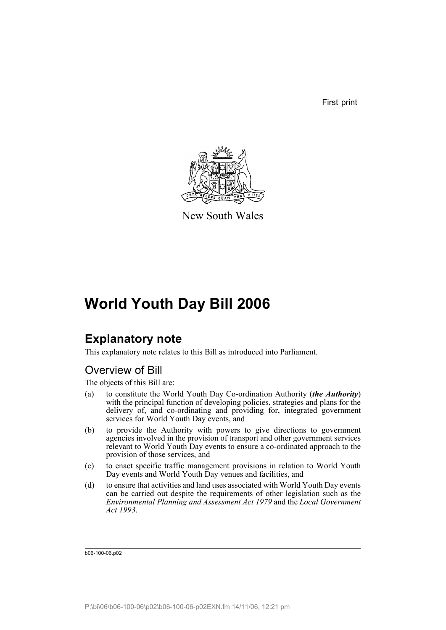First print



New South Wales

# **World Youth Day Bill 2006**

# **Explanatory note**

This explanatory note relates to this Bill as introduced into Parliament.

# Overview of Bill

The objects of this Bill are:

- (a) to constitute the World Youth Day Co-ordination Authority (*the Authority*) with the principal function of developing policies, strategies and plans for the delivery of, and co-ordinating and providing for, integrated government services for World Youth Day events, and
- (b) to provide the Authority with powers to give directions to government agencies involved in the provision of transport and other government services relevant to World Youth Day events to ensure a co-ordinated approach to the provision of those services, and
- (c) to enact specific traffic management provisions in relation to World Youth Day events and World Youth Day venues and facilities, and
- (d) to ensure that activities and land uses associated with World Youth Day events can be carried out despite the requirements of other legislation such as the *Environmental Planning and Assessment Act 1979* and the *Local Government Act 1993*.

b06-100-06.p02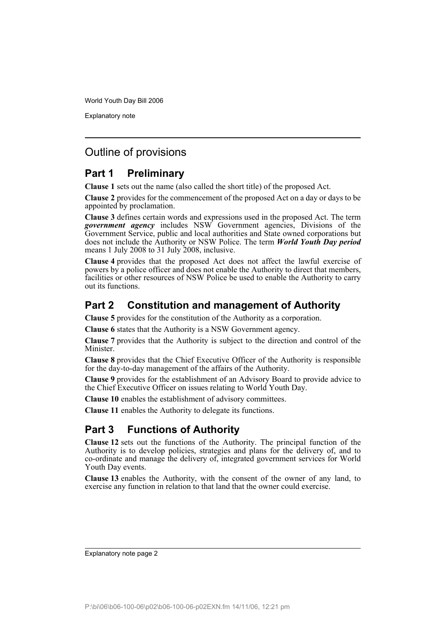Explanatory note

# Outline of provisions

# **Part 1 Preliminary**

**Clause 1** sets out the name (also called the short title) of the proposed Act.

**Clause 2** provides for the commencement of the proposed Act on a day or days to be appointed by proclamation.

**Clause 3** defines certain words and expressions used in the proposed Act. The term *government agency* includes NSW Government agencies, Divisions of the Government Service, public and local authorities and State owned corporations but does not include the Authority or NSW Police. The term *World Youth Day period* means 1 July 2008 to 31 July 2008, inclusive.

**Clause 4** provides that the proposed Act does not affect the lawful exercise of powers by a police officer and does not enable the Authority to direct that members, facilities or other resources of NSW Police be used to enable the Authority to carry out its functions.

# **Part 2 Constitution and management of Authority**

**Clause 5** provides for the constitution of the Authority as a corporation.

**Clause 6** states that the Authority is a NSW Government agency.

**Clause 7** provides that the Authority is subject to the direction and control of the Minister.

**Clause 8** provides that the Chief Executive Officer of the Authority is responsible for the day-to-day management of the affairs of the Authority.

**Clause 9** provides for the establishment of an Advisory Board to provide advice to the Chief Executive Officer on issues relating to World Youth Day.

**Clause 10** enables the establishment of advisory committees.

**Clause 11** enables the Authority to delegate its functions.

# **Part 3 Functions of Authority**

**Clause 12** sets out the functions of the Authority. The principal function of the Authority is to develop policies, strategies and plans for the delivery of, and to co-ordinate and manage the delivery of, integrated government services for World Youth Day events.

**Clause 13** enables the Authority, with the consent of the owner of any land, to exercise any function in relation to that land that the owner could exercise.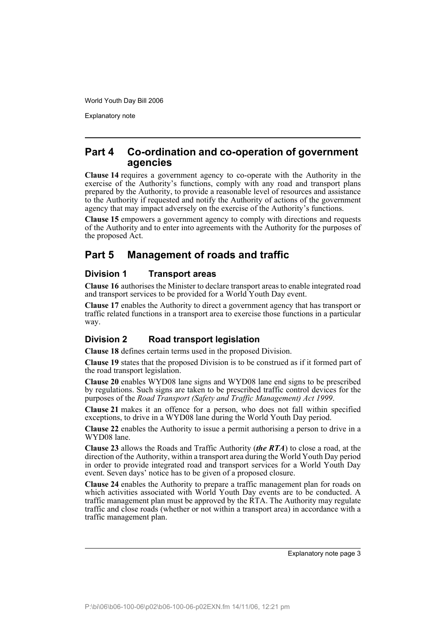Explanatory note

# **Part 4 Co-ordination and co-operation of government agencies**

**Clause 14** requires a government agency to co-operate with the Authority in the exercise of the Authority's functions, comply with any road and transport plans prepared by the Authority, to provide a reasonable level of resources and assistance to the Authority if requested and notify the Authority of actions of the government agency that may impact adversely on the exercise of the Authority's functions.

**Clause 15** empowers a government agency to comply with directions and requests of the Authority and to enter into agreements with the Authority for the purposes of the proposed Act.

# **Part 5 Management of roads and traffic**

### **Division 1 Transport areas**

**Clause 16** authorises the Minister to declare transport areas to enable integrated road and transport services to be provided for a World Youth Day event.

**Clause 17** enables the Authority to direct a government agency that has transport or traffic related functions in a transport area to exercise those functions in a particular way.

### **Division 2 Road transport legislation**

**Clause 18** defines certain terms used in the proposed Division.

**Clause 19** states that the proposed Division is to be construed as if it formed part of the road transport legislation.

**Clause 20** enables WYD08 lane signs and WYD08 lane end signs to be prescribed by regulations. Such signs are taken to be prescribed traffic control devices for the purposes of the *Road Transport (Safety and Traffic Management) Act 1999*.

**Clause 21** makes it an offence for a person, who does not fall within specified exceptions, to drive in a WYD08 lane during the World Youth Day period.

**Clause 22** enables the Authority to issue a permit authorising a person to drive in a WYD08 lane.

**Clause 23** allows the Roads and Traffic Authority (*the RTA*) to close a road, at the direction of the Authority, within a transport area during the World Youth Day period in order to provide integrated road and transport services for a World Youth Day event. Seven days' notice has to be given of a proposed closure.

**Clause 24** enables the Authority to prepare a traffic management plan for roads on which activities associated with World Youth Day events are to be conducted. A traffic management plan must be approved by the RTA. The Authority may regulate traffic and close roads (whether or not within a transport area) in accordance with a traffic management plan.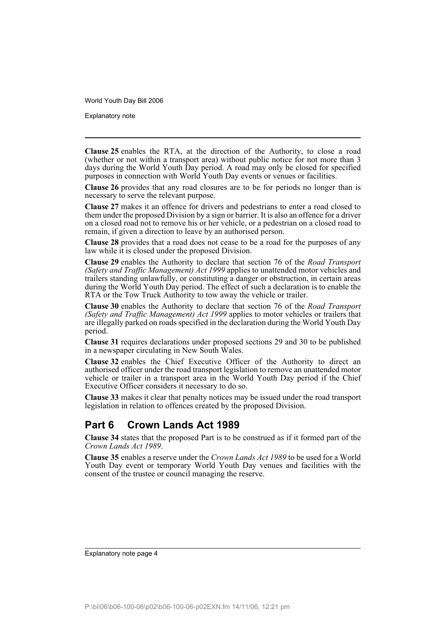Explanatory note

**Clause 25** enables the RTA, at the direction of the Authority, to close a road (whether or not within a transport area) without public notice for not more than 3 days during the World Youth Day period. A road may only be closed for specified purposes in connection with World Youth Day events or venues or facilities.

**Clause 26** provides that any road closures are to be for periods no longer than is necessary to serve the relevant purpose.

**Clause 27** makes it an offence for drivers and pedestrians to enter a road closed to them under the proposed Division by a sign or barrier. It is also an offence for a driver on a closed road not to remove his or her vehicle, or a pedestrian on a closed road to remain, if given a direction to leave by an authorised person.

**Clause 28** provides that a road does not cease to be a road for the purposes of any law while it is closed under the proposed Division.

**Clause 29** enables the Authority to declare that section 76 of the *Road Transport (Safety and Traffic Management) Act 1999* applies to unattended motor vehicles and trailers standing unlawfully, or constituting a danger or obstruction, in certain areas during the World Youth Day period. The effect of such a declaration is to enable the RTA or the Tow Truck Authority to tow away the vehicle or trailer.

**Clause 30** enables the Authority to declare that section 76 of the *Road Transport (Safety and Traffic Management) Act 1999* applies to motor vehicles or trailers that are illegally parked on roads specified in the declaration during the World Youth Day period.

**Clause 31** requires declarations under proposed sections 29 and 30 to be published in a newspaper circulating in New South Wales.

**Clause 32** enables the Chief Executive Officer of the Authority to direct an authorised officer under the road transport legislation to remove an unattended motor vehicle or trailer in a transport area in the World Youth Day period if the Chief Executive Officer considers it necessary to do so.

**Clause 33** makes it clear that penalty notices may be issued under the road transport legislation in relation to offences created by the proposed Division.

# **Part 6 Crown Lands Act 1989**

**Clause 34** states that the proposed Part is to be construed as if it formed part of the *Crown Lands Act 1989*.

**Clause 35** enables a reserve under the *Crown Lands Act 1989* to be used for a World Youth Day event or temporary World Youth Day venues and facilities with the consent of the trustee or council managing the reserve.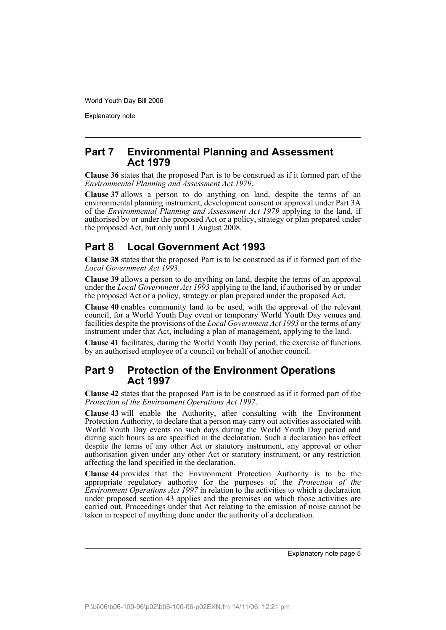Explanatory note

## **Part 7 Environmental Planning and Assessment Act 1979**

**Clause 36** states that the proposed Part is to be construed as if it formed part of the *Environmental Planning and Assessment Act 1979*.

**Clause 37** allows a person to do anything on land, despite the terms of an environmental planning instrument, development consent or approval under Part 3A of the *Environmental Planning and Assessment Act 1979* applying to the land, if authorised by or under the proposed Act or a policy, strategy or plan prepared under the proposed Act, but only until 1 August  $2008$ .

# **Part 8 Local Government Act 1993**

**Clause 38** states that the proposed Part is to be construed as if it formed part of the *Local Government Act 1993*.

**Clause 39** allows a person to do anything on land, despite the terms of an approval under the *Local Government Act 1993* applying to the land, if authorised by or under the proposed Act or a policy, strategy or plan prepared under the proposed Act.

**Clause 40** enables community land to be used, with the approval of the relevant council, for a World Youth Day event or temporary World Youth Day venues and facilities despite the provisions of the *Local Government Act 1993* or the terms of any instrument under that Act, including a plan of management, applying to the land.

**Clause 41** facilitates, during the World Youth Day period, the exercise of functions by an authorised employee of a council on behalf of another council.

# **Part 9 Protection of the Environment Operations Act 1997**

**Clause 42** states that the proposed Part is to be construed as if it formed part of the *Protection of the Environment Operations Act 1997*.

**Clause 43** will enable the Authority, after consulting with the Environment Protection Authority, to declare that a person may carry out activities associated with World Youth Day events on such days during the World Youth Day period and during such hours as are specified in the declaration. Such a declaration has effect despite the terms of any other Act or statutory instrument, any approval or other authorisation given under any other Act or statutory instrument, or any restriction affecting the land specified in the declaration.

**Clause 44** provides that the Environment Protection Authority is to be the appropriate regulatory authority for the purposes of the *Protection of the Environment Operations Act 1997* in relation to the activities to which a declaration under proposed section 43 applies and the premises on which those activities are carried out. Proceedings under that Act relating to the emission of noise cannot be taken in respect of anything done under the authority of a declaration.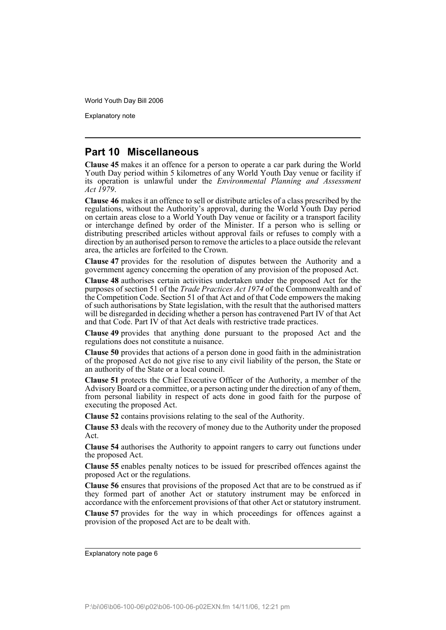Explanatory note

## **Part 10 Miscellaneous**

**Clause 45** makes it an offence for a person to operate a car park during the World Youth Day period within 5 kilometres of any World Youth Day venue or facility if its operation is unlawful under the *Environmental Planning and Assessment Act 1979*.

**Clause 46** makes it an offence to sell or distribute articles of a class prescribed by the regulations, without the Authority's approval, during the World Youth Day period on certain areas close to a World Youth Day venue or facility or a transport facility or interchange defined by order of the Minister. If a person who is selling or distributing prescribed articles without approval fails or refuses to comply with a direction by an authorised person to remove the articles to a place outside the relevant area, the articles are forfeited to the Crown.

**Clause 47** provides for the resolution of disputes between the Authority and a government agency concerning the operation of any provision of the proposed Act.

**Clause 48** authorises certain activities undertaken under the proposed Act for the purposes of section 51 of the *Trade Practices Act 1974* of the Commonwealth and of the Competition Code. Section 51 of that Act and of that Code empowers the making of such authorisations by State legislation, with the result that the authorised matters will be disregarded in deciding whether a person has contravened Part IV of that Act and that Code. Part IV of that Act deals with restrictive trade practices.

**Clause 49** provides that anything done pursuant to the proposed Act and the regulations does not constitute a nuisance.

**Clause 50** provides that actions of a person done in good faith in the administration of the proposed Act do not give rise to any civil liability of the person, the State or an authority of the State or a local council.

**Clause 51** protects the Chief Executive Officer of the Authority, a member of the Advisory Board or a committee, or a person acting under the direction of any of them, from personal liability in respect of acts done in good faith for the purpose of executing the proposed Act.

**Clause 52** contains provisions relating to the seal of the Authority.

**Clause 53** deals with the recovery of money due to the Authority under the proposed Act.

**Clause 54** authorises the Authority to appoint rangers to carry out functions under the proposed Act.

**Clause 55** enables penalty notices to be issued for prescribed offences against the proposed Act or the regulations.

**Clause 56** ensures that provisions of the proposed Act that are to be construed as if they formed part of another Act or statutory instrument may be enforced in accordance with the enforcement provisions of that other Act or statutory instrument.

**Clause 57** provides for the way in which proceedings for offences against a provision of the proposed Act are to be dealt with.

Explanatory note page 6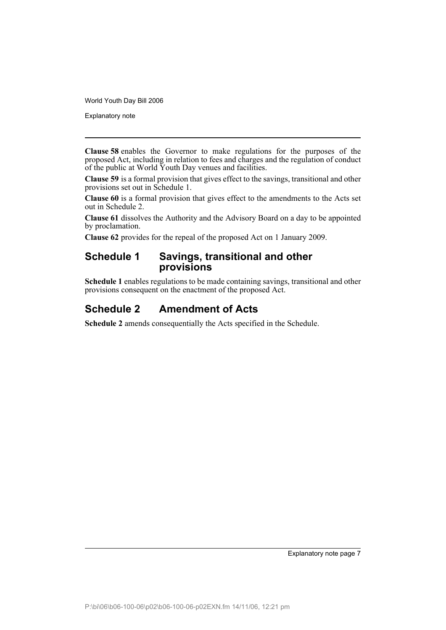Explanatory note

**Clause 58** enables the Governor to make regulations for the purposes of the proposed Act, including in relation to fees and charges and the regulation of conduct of the public at World Youth Day venues and facilities.

**Clause 59** is a formal provision that gives effect to the savings, transitional and other provisions set out in Schedule 1.

**Clause 60** is a formal provision that gives effect to the amendments to the Acts set out in Schedule 2.

**Clause 61** dissolves the Authority and the Advisory Board on a day to be appointed by proclamation.

**Clause 62** provides for the repeal of the proposed Act on 1 January 2009.

# **Schedule 1 Savings, transitional and other provisions**

**Schedule 1** enables regulations to be made containing savings, transitional and other provisions consequent on the enactment of the proposed Act.

# **Schedule 2 Amendment of Acts**

**Schedule 2** amends consequentially the Acts specified in the Schedule.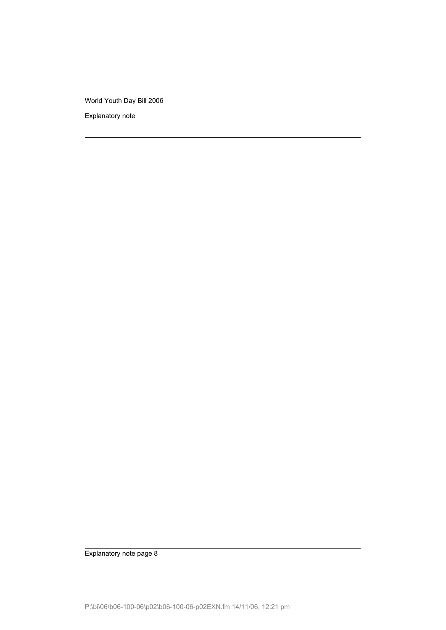Explanatory note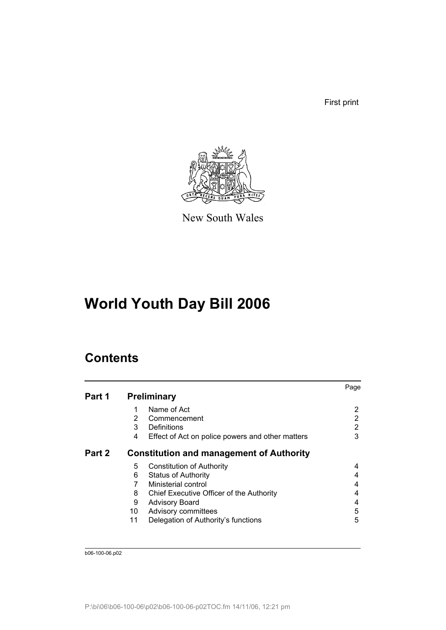First print



New South Wales

# **World Youth Day Bill 2006**

# **Contents**

|        |                |                                                  | Page |
|--------|----------------|--------------------------------------------------|------|
| Part 1 |                | <b>Preliminary</b>                               |      |
|        | 1              | Name of Act                                      | 2    |
|        | $\overline{2}$ | Commencement                                     | 2    |
|        | 3              | Definitions                                      | 2    |
|        | 4              | Effect of Act on police powers and other matters | 3    |
| Part 2 |                | <b>Constitution and management of Authority</b>  |      |
|        | 5              | <b>Constitution of Authority</b>                 | 4    |
|        | 6              | <b>Status of Authority</b>                       | 4    |
|        | 7              | Ministerial control                              | 4    |
|        | 8              | Chief Executive Officer of the Authority         | 4    |
|        | 9              | <b>Advisory Board</b>                            | 4    |
|        | 10             | Advisory committees                              | 5    |
|        | 11             | Delegation of Authority's functions              | 5    |
|        |                |                                                  |      |

b06-100-06.p02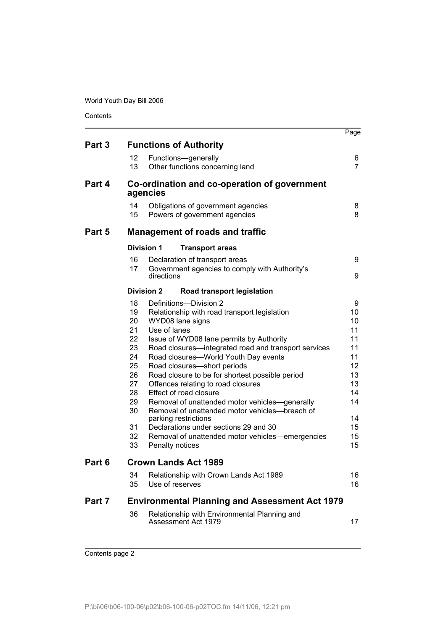**Contents** 

|        |                                                                                                                                                                                                                                                                                                                                                                                                                                                                                                                                                                                                                                                                                                                                                      | Page                                                                                        |
|--------|------------------------------------------------------------------------------------------------------------------------------------------------------------------------------------------------------------------------------------------------------------------------------------------------------------------------------------------------------------------------------------------------------------------------------------------------------------------------------------------------------------------------------------------------------------------------------------------------------------------------------------------------------------------------------------------------------------------------------------------------------|---------------------------------------------------------------------------------------------|
| Part 3 | <b>Functions of Authority</b>                                                                                                                                                                                                                                                                                                                                                                                                                                                                                                                                                                                                                                                                                                                        |                                                                                             |
|        | 12<br>Functions-generally                                                                                                                                                                                                                                                                                                                                                                                                                                                                                                                                                                                                                                                                                                                            | 6                                                                                           |
|        | 13<br>Other functions concerning land                                                                                                                                                                                                                                                                                                                                                                                                                                                                                                                                                                                                                                                                                                                | $\overline{7}$                                                                              |
| Part 4 | Co-ordination and co-operation of government<br>agencies                                                                                                                                                                                                                                                                                                                                                                                                                                                                                                                                                                                                                                                                                             |                                                                                             |
|        | 14<br>Obligations of government agencies<br>15<br>Powers of government agencies                                                                                                                                                                                                                                                                                                                                                                                                                                                                                                                                                                                                                                                                      | 8<br>8                                                                                      |
| Part 5 | <b>Management of roads and traffic</b>                                                                                                                                                                                                                                                                                                                                                                                                                                                                                                                                                                                                                                                                                                               |                                                                                             |
|        | <b>Division 1</b><br><b>Transport areas</b>                                                                                                                                                                                                                                                                                                                                                                                                                                                                                                                                                                                                                                                                                                          |                                                                                             |
|        | 16<br>Declaration of transport areas                                                                                                                                                                                                                                                                                                                                                                                                                                                                                                                                                                                                                                                                                                                 | 9                                                                                           |
|        | 17<br>Government agencies to comply with Authority's<br>directions                                                                                                                                                                                                                                                                                                                                                                                                                                                                                                                                                                                                                                                                                   | 9                                                                                           |
|        | <b>Division 2</b><br>Road transport legislation                                                                                                                                                                                                                                                                                                                                                                                                                                                                                                                                                                                                                                                                                                      |                                                                                             |
|        | Definitions-Division 2<br>18<br>19<br>Relationship with road transport legislation<br>20<br>WYD08 lane signs<br>21<br>Use of lanes<br>22<br>Issue of WYD08 lane permits by Authority<br>23<br>Road closures-integrated road and transport services<br>24<br>Road closures-World Youth Day events<br>25<br>Road closures-short periods<br>26<br>Road closure to be for shortest possible period<br>27<br>Offences relating to road closures<br>28<br>Effect of road closure<br>29<br>Removal of unattended motor vehicles-generally<br>30<br>Removal of unattended motor vehicles-breach of<br>parking restrictions<br>31<br>Declarations under sections 29 and 30<br>32<br>Removal of unattended motor vehicles—emergencies<br>33<br>Penalty notices | 9<br>10<br>10<br>11<br>11<br>11<br>11<br>12<br>13<br>13<br>14<br>14<br>14<br>15<br>15<br>15 |
| Part 6 | <b>Crown Lands Act 1989</b>                                                                                                                                                                                                                                                                                                                                                                                                                                                                                                                                                                                                                                                                                                                          |                                                                                             |
|        | 34<br>Relationship with Crown Lands Act 1989<br>35<br>Use of reserves                                                                                                                                                                                                                                                                                                                                                                                                                                                                                                                                                                                                                                                                                | 16<br>16                                                                                    |
| Part 7 | <b>Environmental Planning and Assessment Act 1979</b>                                                                                                                                                                                                                                                                                                                                                                                                                                                                                                                                                                                                                                                                                                |                                                                                             |
|        | 36<br>Relationship with Environmental Planning and<br>Assessment Act 1979                                                                                                                                                                                                                                                                                                                                                                                                                                                                                                                                                                                                                                                                            | 17                                                                                          |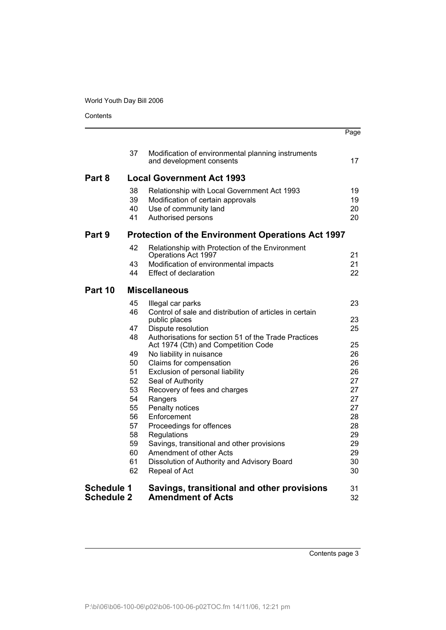**Contents** 

|                                        |                      |                                                                                                                                          | Page                 |
|----------------------------------------|----------------------|------------------------------------------------------------------------------------------------------------------------------------------|----------------------|
|                                        | 37                   | Modification of environmental planning instruments<br>and development consents                                                           | 17                   |
| Part 8                                 |                      | <b>Local Government Act 1993</b>                                                                                                         |                      |
|                                        | 38<br>39<br>40<br>41 | Relationship with Local Government Act 1993<br>Modification of certain approvals<br>Use of community land<br>Authorised persons          | 19<br>19<br>20<br>20 |
| Part 9                                 |                      | <b>Protection of the Environment Operations Act 1997</b>                                                                                 |                      |
|                                        | 42<br>43<br>44       | Relationship with Protection of the Environment<br>Operations Act 1997<br>Modification of environmental impacts<br>Effect of declaration | 21<br>21<br>22       |
| Part 10                                |                      | <b>Miscellaneous</b>                                                                                                                     |                      |
|                                        | 45<br>46             | Illegal car parks<br>Control of sale and distribution of articles in certain                                                             | 23                   |
|                                        | 47                   | public places<br>Dispute resolution                                                                                                      | 23<br>25             |
|                                        | 48                   | Authorisations for section 51 of the Trade Practices<br>Act 1974 (Cth) and Competition Code                                              | 25                   |
|                                        | 49                   | No liability in nuisance                                                                                                                 | 26                   |
|                                        | 50<br>51             | Claims for compensation<br>Exclusion of personal liability                                                                               | 26<br>26             |
|                                        | 52                   | Seal of Authority                                                                                                                        | 27                   |
|                                        | 53                   | Recovery of fees and charges                                                                                                             | 27                   |
|                                        | 54<br>55             | Rangers                                                                                                                                  | 27<br>27             |
|                                        | 56                   | Penalty notices<br>Enforcement                                                                                                           | 28                   |
|                                        | 57                   | Proceedings for offences                                                                                                                 | 28                   |
|                                        | 58                   | Regulations                                                                                                                              | 29                   |
|                                        | 59                   | Savings, transitional and other provisions                                                                                               | 29                   |
|                                        | 60<br>61             | Amendment of other Acts<br>Dissolution of Authority and Advisory Board                                                                   | 29<br>30             |
|                                        | 62                   | Repeal of Act                                                                                                                            | 30                   |
| <b>Schedule 1</b><br><b>Schedule 2</b> |                      | Savings, transitional and other provisions<br><b>Amendment of Acts</b>                                                                   | 31<br>32             |

Contents page 3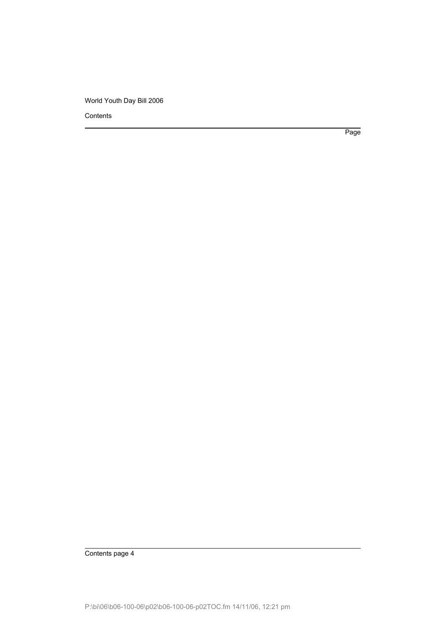Contents

Page

Contents page 4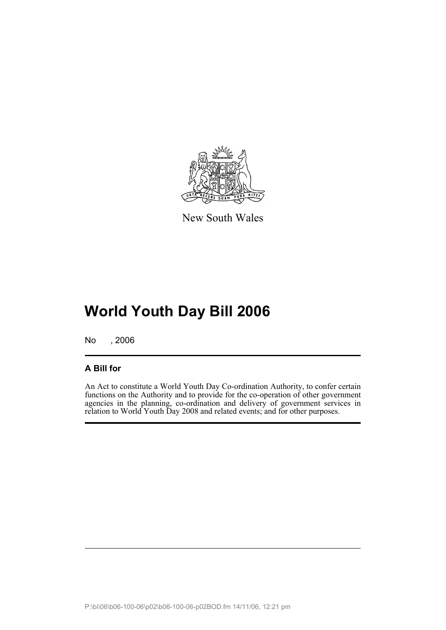

New South Wales

# **World Youth Day Bill 2006**

No , 2006

### **A Bill for**

An Act to constitute a World Youth Day Co-ordination Authority, to confer certain functions on the Authority and to provide for the co-operation of other government agencies in the planning, co-ordination and delivery of government services in relation to World Youth Day 2008 and related events; and for other purposes.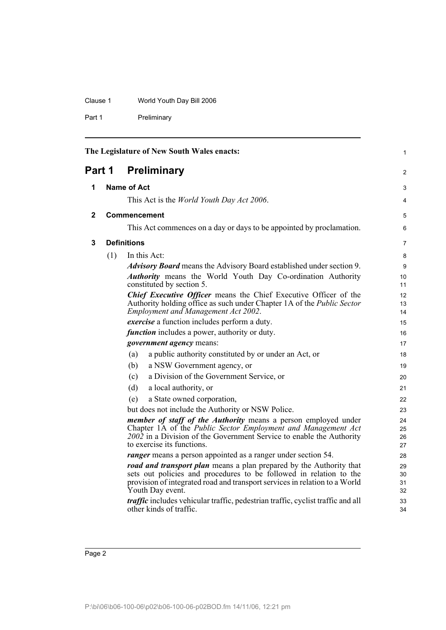# Clause 1 World Youth Day Bill 2006

Part 1 Preliminary

|              |     | The Legislature of New South Wales enacts:                                                                                                                                                                                                                | 1                    |
|--------------|-----|-----------------------------------------------------------------------------------------------------------------------------------------------------------------------------------------------------------------------------------------------------------|----------------------|
| Part 1       |     | <b>Preliminary</b>                                                                                                                                                                                                                                        | 2                    |
| 1            |     | <b>Name of Act</b>                                                                                                                                                                                                                                        | 3                    |
|              |     | This Act is the <i>World Youth Day Act 2006</i> .                                                                                                                                                                                                         | $\overline{4}$       |
| $\mathbf{2}$ |     | <b>Commencement</b>                                                                                                                                                                                                                                       | 5                    |
|              |     | This Act commences on a day or days to be appointed by proclamation.                                                                                                                                                                                      | 6                    |
| 3            |     | <b>Definitions</b>                                                                                                                                                                                                                                        | $\overline{7}$       |
|              | (1) | In this Act:                                                                                                                                                                                                                                              | 8                    |
|              |     | <b>Advisory Board</b> means the Advisory Board established under section 9.                                                                                                                                                                               | 9                    |
|              |     | <b>Authority</b> means the World Youth Day Co-ordination Authority<br>constituted by section 5.                                                                                                                                                           | 10<br>11             |
|              |     | <b>Chief Executive Officer</b> means the Chief Executive Officer of the<br>Authority holding office as such under Chapter 1A of the <i>Public Sector</i><br><b>Employment and Management Act 2002.</b>                                                    | 12<br>13<br>14       |
|              |     | <i>exercise</i> a function includes perform a duty.                                                                                                                                                                                                       | 15                   |
|              |     | <i>function</i> includes a power, authority or duty.                                                                                                                                                                                                      | 16                   |
|              |     | <i>government agency</i> means:                                                                                                                                                                                                                           | 17                   |
|              |     | a public authority constituted by or under an Act, or<br>(a)                                                                                                                                                                                              | 18                   |
|              |     | a NSW Government agency, or<br>(b)                                                                                                                                                                                                                        | 19                   |
|              |     | (c)<br>a Division of the Government Service, or                                                                                                                                                                                                           | 20                   |
|              |     | a local authority, or<br>(d)                                                                                                                                                                                                                              | 21                   |
|              |     | a State owned corporation,<br>(e)                                                                                                                                                                                                                         | 22                   |
|              |     | but does not include the Authority or NSW Police.                                                                                                                                                                                                         | 23                   |
|              |     | <i>member of staff of the Authority</i> means a person employed under<br>Chapter 1A of the Public Sector Employment and Management Act<br>$200\overline{2}$ in a Division of the Government Service to enable the Authority<br>to exercise its functions. | 24<br>25<br>26<br>27 |
|              |     | <i>ranger</i> means a person appointed as a ranger under section 54.                                                                                                                                                                                      | 28                   |
|              |     | <b>road and transport plan</b> means a plan prepared by the Authority that<br>sets out policies and procedures to be followed in relation to the<br>provision of integrated road and transport services in relation to a World<br>Youth Day event.        | 29<br>30<br>31<br>32 |
|              |     | <i>traffic</i> includes vehicular traffic, pedestrian traffic, cyclist traffic and all<br>other kinds of traffic.                                                                                                                                         | 33<br>34             |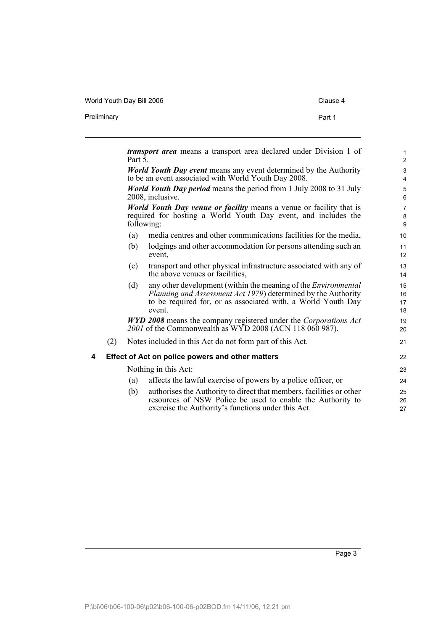World Youth Day Bill 2006 Clause 4

Preliminary **Preliminary** Part 1

|   |     | Part 5. | <i>transport area</i> means a transport area declared under Division 1 of                                                                                                                                        | $\mathbf{1}$<br>$\overline{2}$   |
|---|-----|---------|------------------------------------------------------------------------------------------------------------------------------------------------------------------------------------------------------------------|----------------------------------|
|   |     |         | <b>World Youth Day event</b> means any event determined by the Authority<br>to be an event associated with World Youth Day 2008.                                                                                 | $\mathfrak{S}$<br>$\overline{4}$ |
|   |     |         | <b><i>World Youth Day period</i></b> means the period from 1 July 2008 to 31 July<br>2008, inclusive.                                                                                                            | 5<br>6                           |
|   |     |         | <b>World Youth Day venue or facility means a venue or facility that is</b><br>required for hosting a World Youth Day event, and includes the<br>following:                                                       | $\overline{7}$<br>$\bf 8$<br>9   |
|   |     | (a)     | media centres and other communications facilities for the media,                                                                                                                                                 | 10                               |
|   |     | (b)     | lodgings and other accommodation for persons attending such an<br>event,                                                                                                                                         | 11<br>12                         |
|   |     | (c)     | transport and other physical infrastructure associated with any of<br>the above venues or facilities,                                                                                                            | 13<br>14                         |
|   |     | (d)     | any other development (within the meaning of the <i>Environmental</i><br>Planning and Assessment Act 1979) determined by the Authority<br>to be required for, or as associated with, a World Youth Day<br>event. | 15<br>16<br>17<br>18             |
|   |     |         | <b>WYD 2008</b> means the company registered under the Corporations Act<br>2001 of the Commonwealth as WYD 2008 (ACN 118 060 987).                                                                               | 19<br>20                         |
|   | (2) |         | Notes included in this Act do not form part of this Act.                                                                                                                                                         | 21                               |
| 4 |     |         | Effect of Act on police powers and other matters                                                                                                                                                                 | 22                               |
|   |     |         | Nothing in this Act:                                                                                                                                                                                             | 23                               |
|   |     | (a)     | affects the lawful exercise of powers by a police officer, or                                                                                                                                                    | 24                               |
|   |     | (b)     | authorises the Authority to direct that members, facilities or other<br>resources of NSW Police be used to enable the Authority to<br>exercise the Authority's functions under this Act.                         | 25<br>26<br>27                   |
|   |     |         |                                                                                                                                                                                                                  |                                  |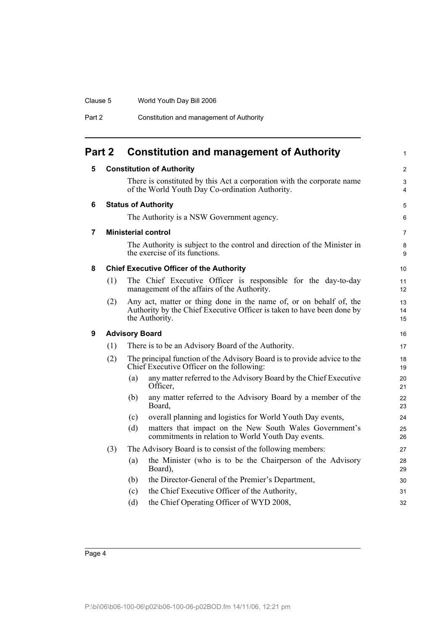# Clause 5 World Youth Day Bill 2006

Part 2 Constitution and management of Authority

| Part 2 |     |                       | <b>Constitution and management of Authority</b>                                                                                                                | 1              |
|--------|-----|-----------------------|----------------------------------------------------------------------------------------------------------------------------------------------------------------|----------------|
| 5      |     |                       | <b>Constitution of Authority</b>                                                                                                                               | $\overline{2}$ |
|        |     |                       | There is constituted by this Act a corporation with the corporate name<br>of the World Youth Day Co-ordination Authority.                                      | 3<br>4         |
| 6      |     |                       | <b>Status of Authority</b>                                                                                                                                     | 5              |
|        |     |                       | The Authority is a NSW Government agency.                                                                                                                      | 6              |
| 7      |     |                       | <b>Ministerial control</b>                                                                                                                                     | 7              |
|        |     |                       | The Authority is subject to the control and direction of the Minister in<br>the exercise of its functions.                                                     | 8<br>9         |
| 8      |     |                       | <b>Chief Executive Officer of the Authority</b>                                                                                                                | 10             |
|        | (1) |                       | The Chief Executive Officer is responsible for the day-to-day<br>management of the affairs of the Authority.                                                   | 11<br>12       |
|        | (2) |                       | Any act, matter or thing done in the name of, or on behalf of, the<br>Authority by the Chief Executive Officer is taken to have been done by<br>the Authority. | 13<br>14<br>15 |
| 9      |     | <b>Advisory Board</b> |                                                                                                                                                                | 16             |
|        | (1) |                       | There is to be an Advisory Board of the Authority.                                                                                                             | 17             |
|        | (2) |                       | The principal function of the Advisory Board is to provide advice to the<br>Chief Executive Officer on the following:                                          | 18<br>19       |
|        |     | (a)                   | any matter referred to the Advisory Board by the Chief Executive<br>Officer,                                                                                   | 20<br>21       |
|        |     | (b)                   | any matter referred to the Advisory Board by a member of the<br>Board,                                                                                         | 22<br>23       |
|        |     | (c)                   | overall planning and logistics for World Youth Day events,                                                                                                     | 24             |
|        |     | (d)                   | matters that impact on the New South Wales Government's<br>commitments in relation to World Youth Day events.                                                  | 25<br>26       |
|        | (3) |                       | The Advisory Board is to consist of the following members:                                                                                                     | 27             |
|        |     | (a)                   | the Minister (who is to be the Chairperson of the Advisory<br>Board),                                                                                          | 28<br>29       |
|        |     | (b)                   | the Director-General of the Premier's Department,                                                                                                              | 30             |
|        |     | (c)                   | the Chief Executive Officer of the Authority,                                                                                                                  | 31             |
|        |     | (d)                   | the Chief Operating Officer of WYD 2008,                                                                                                                       | 32             |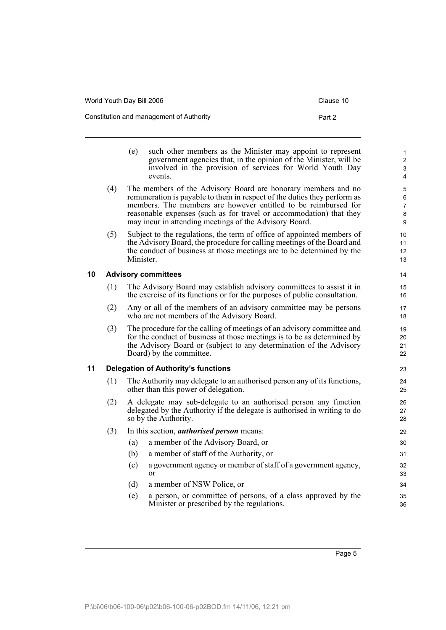World Youth Day Bill 2006 Clause 10

**10** 

Constitution and management of Authority **Part 2** Part 2

|    |     | (e)<br>such other members as the Minister may appoint to represent<br>government agencies that, in the opinion of the Minister, will be<br>involved in the provision of services for World Youth Day<br>events.                                                                                                                              | $\mathbf{1}$<br>$\overline{2}$<br>3<br>4       |
|----|-----|----------------------------------------------------------------------------------------------------------------------------------------------------------------------------------------------------------------------------------------------------------------------------------------------------------------------------------------------|------------------------------------------------|
|    | (4) | The members of the Advisory Board are honorary members and no<br>remuneration is payable to them in respect of the duties they perform as<br>members. The members are however entitled to be reimbursed for<br>reasonable expenses (such as for travel or accommodation) that they<br>may incur in attending meetings of the Advisory Board. | 5<br>6<br>7<br>8<br>9                          |
|    | (5) | Subject to the regulations, the term of office of appointed members of<br>the Advisory Board, the procedure for calling meetings of the Board and<br>the conduct of business at those meetings are to be determined by the<br>Minister.                                                                                                      | 10 <sup>°</sup><br>11<br>12 <sup>2</sup><br>13 |
| 10 |     | <b>Advisory committees</b>                                                                                                                                                                                                                                                                                                                   | 14                                             |
|    | (1) | The Advisory Board may establish advisory committees to assist it in<br>the exercise of its functions or for the purposes of public consultation.                                                                                                                                                                                            | 15<br>16                                       |
|    | (2) | Any or all of the members of an advisory committee may be persons<br>who are not members of the Advisory Board.                                                                                                                                                                                                                              | 17<br>18                                       |
|    | (3) | The procedure for the calling of meetings of an advisory committee and<br>for the conduct of business at those meetings is to be as determined by<br>the Advisory Board or (subject to any determination of the Advisory<br>Board) by the committee.                                                                                         | 19<br>20<br>21<br>22                           |
| 11 |     | <b>Delegation of Authority's functions</b>                                                                                                                                                                                                                                                                                                   | 23                                             |
|    | (1) | The Authority may delegate to an authorised person any of its functions,<br>other than this power of delegation.                                                                                                                                                                                                                             | 24<br>25                                       |
|    | (2) | A delegate may sub-delegate to an authorised person any function<br>delegated by the Authority if the delegate is authorised in writing to do<br>so by the Authority.                                                                                                                                                                        | 26<br>27<br>28                                 |
|    | (3) | In this section, <i>authorised person</i> means:                                                                                                                                                                                                                                                                                             | 29                                             |
|    |     | a member of the Advisory Board, or<br>(a)                                                                                                                                                                                                                                                                                                    | 30                                             |
|    |     | a member of staff of the Authority, or<br>(b)                                                                                                                                                                                                                                                                                                | 31                                             |
|    |     | a government agency or member of staff of a government agency,<br>(c)<br><sub>or</sub>                                                                                                                                                                                                                                                       | 32<br>33                                       |
|    |     | a member of NSW Police, or<br>(d)                                                                                                                                                                                                                                                                                                            | 34                                             |
|    |     | a person, or committee of persons, of a class approved by the<br>(e)<br>Minister or prescribed by the regulations.                                                                                                                                                                                                                           | 35<br>36                                       |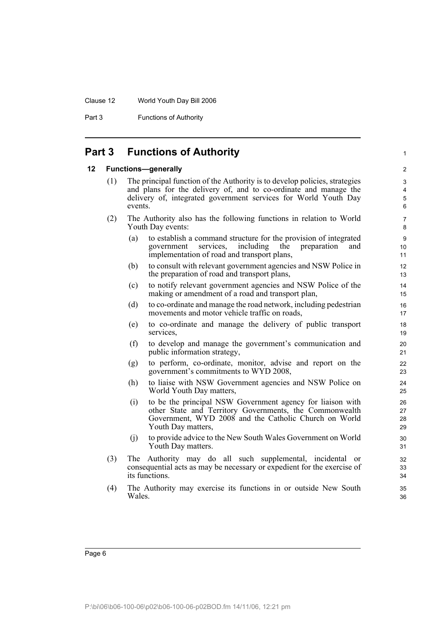#### Clause 12 World Youth Day Bill 2006

Part 3 **Functions of Authority** 

# **Part 3 Functions of Authority**

#### **12 Functions—generally**

- (1) The principal function of the Authority is to develop policies, strategies and plans for the delivery of, and to co-ordinate and manage the delivery of, integrated government services for World Youth Day events.
- (2) The Authority also has the following functions in relation to World Youth Day events:
	- (a) to establish a command structure for the provision of integrated government services, including the preparation and implementation of road and transport plans,

1

- (b) to consult with relevant government agencies and NSW Police in the preparation of road and transport plans,
- (c) to notify relevant government agencies and NSW Police of the making or amendment of a road and transport plan,
- (d) to co-ordinate and manage the road network, including pedestrian movements and motor vehicle traffic on roads,
- (e) to co-ordinate and manage the delivery of public transport services,
- (f) to develop and manage the government's communication and public information strategy,
- (g) to perform, co-ordinate, monitor, advise and report on the government's commitments to WYD 2008,
- (h) to liaise with NSW Government agencies and NSW Police on World Youth Day matters,
- (i) to be the principal NSW Government agency for liaison with other State and Territory Governments, the Commonwealth Government, WYD 2008 and the Catholic Church on World Youth Day matters,
- (j) to provide advice to the New South Wales Government on World Youth Day matters.
- (3) The Authority may do all such supplemental, incidental or consequential acts as may be necessary or expedient for the exercise of its functions.
- (4) The Authority may exercise its functions in or outside New South Wales.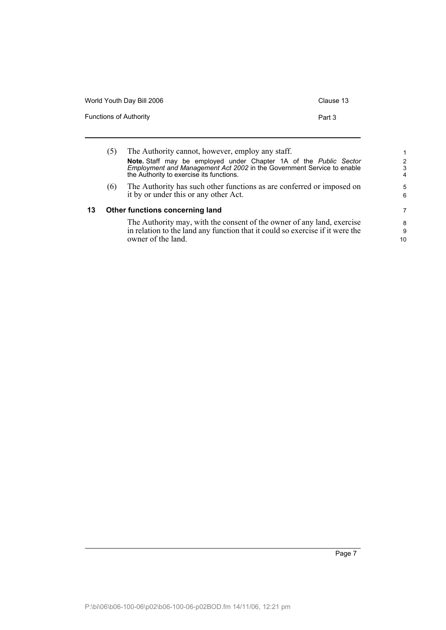| World Youth Day Bill 2006     | Clause 13 |
|-------------------------------|-----------|
| <b>Functions of Authority</b> | Part 3    |

|    | (5) | The Authority cannot, however, employ any staff.                                                                                                                                     | 1.          |
|----|-----|--------------------------------------------------------------------------------------------------------------------------------------------------------------------------------------|-------------|
|    |     | Note. Staff may be employed under Chapter 1A of the Public Sector Employment and Management Act 2002 in the Government Service to enable<br>the Authority to exercise its functions. | 2<br>3<br>4 |
|    | (6) | The Authority has such other functions as are conferred or imposed on<br>it by or under this or any other Act.                                                                       | 5<br>6      |
| 13 |     | Other functions concerning land                                                                                                                                                      | 7           |
|    |     | The Authority may, with the consent of the owner of any land, exercise                                                                                                               | 8           |
|    |     | in relation to the land any function that it could so exercise if it were the                                                                                                        | 9           |
|    |     | owner of the land.                                                                                                                                                                   | 10          |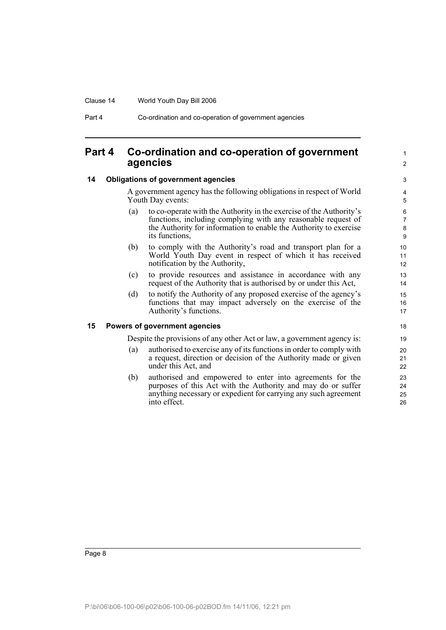#### Clause 14 World Youth Day Bill 2006

### **Part 4 Co-ordination and co-operation of government agencies**

#### **14 Obligations of government agencies**

A government agency has the following obligations in respect of World Youth Day events:

1  $\mathfrak{p}$ 

- (a) to co-operate with the Authority in the exercise of the Authority's functions, including complying with any reasonable request of the Authority for information to enable the Authority to exercise its functions,
- (b) to comply with the Authority's road and transport plan for a World Youth Day event in respect of which it has received notification by the Authority,
- (c) to provide resources and assistance in accordance with any request of the Authority that is authorised by or under this Act,
- (d) to notify the Authority of any proposed exercise of the agency's functions that may impact adversely on the exercise of the Authority's functions.

#### **15 Powers of government agencies**

Despite the provisions of any other Act or law, a government agency is:

- (a) authorised to exercise any of its functions in order to comply with a request, direction or decision of the Authority made or given under this Act, and
- (b) authorised and empowered to enter into agreements for the purposes of this Act with the Authority and may do or suffer anything necessary or expedient for carrying any such agreement into effect.

Page 8

P:\bi\06\b06-100-06\p02\b06-100-06-p02BOD.fm 14/11/06, 12:21 pm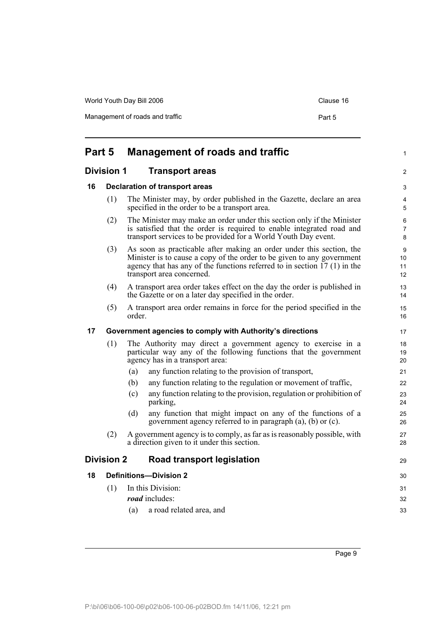| World Youth Day Bill 2006       | Clause 16 |
|---------------------------------|-----------|
| Management of roads and traffic | Part 5    |

| Part 5                                          |                   | <b>Management of roads and traffic</b>                                                                                                                                                                                                                    | 1                   |
|-------------------------------------------------|-------------------|-----------------------------------------------------------------------------------------------------------------------------------------------------------------------------------------------------------------------------------------------------------|---------------------|
|                                                 | <b>Division 1</b> | <b>Transport areas</b>                                                                                                                                                                                                                                    | $\overline{c}$      |
| 16                                              |                   | <b>Declaration of transport areas</b>                                                                                                                                                                                                                     | 3                   |
|                                                 | (1)               | The Minister may, by order published in the Gazette, declare an area<br>specified in the order to be a transport area.                                                                                                                                    | 4<br>5              |
|                                                 | (2)               | The Minister may make an order under this section only if the Minister<br>is satisfied that the order is required to enable integrated road and<br>transport services to be provided for a World Youth Day event.                                         | 6<br>7<br>8         |
|                                                 | (3)               | As soon as practicable after making an order under this section, the<br>Minister is to cause a copy of the order to be given to any government<br>agency that has any of the functions referred to in section $17(1)$ in the<br>transport area concerned. | 9<br>10<br>11<br>12 |
|                                                 | (4)               | A transport area order takes effect on the day the order is published in<br>the Gazette or on a later day specified in the order.                                                                                                                         | 13<br>14            |
|                                                 | (5)               | A transport area order remains in force for the period specified in the<br>order                                                                                                                                                                          | 15<br>16            |
| 17                                              |                   | Government agencies to comply with Authority's directions                                                                                                                                                                                                 | 17                  |
|                                                 | (1)               | The Authority may direct a government agency to exercise in a<br>particular way any of the following functions that the government<br>agency has in a transport area:                                                                                     | 18<br>19<br>20      |
|                                                 |                   | any function relating to the provision of transport,<br>(a)                                                                                                                                                                                               | 21                  |
|                                                 |                   | any function relating to the regulation or movement of traffic,<br>(b)                                                                                                                                                                                    | 22                  |
|                                                 |                   | any function relating to the provision, regulation or prohibition of<br>(c)<br>parking,                                                                                                                                                                   | 23<br>24            |
|                                                 |                   | any function that might impact on any of the functions of a<br>(d)<br>government agency referred to in paragraph (a), (b) or (c).                                                                                                                         | 25<br>26            |
|                                                 | (2)               | A government agency is to comply, as far as is reasonably possible, with<br>a direction given to it under this section.                                                                                                                                   | 27<br>28            |
| <b>Division 2</b><br>Road transport legislation |                   |                                                                                                                                                                                                                                                           | 29                  |
| 18                                              |                   | <b>Definitions-Division 2</b>                                                                                                                                                                                                                             | 30                  |
|                                                 | (1)               | In this Division:                                                                                                                                                                                                                                         | 31                  |
|                                                 |                   | road includes:                                                                                                                                                                                                                                            | 32                  |
|                                                 |                   | a road related area, and<br>(a)                                                                                                                                                                                                                           | 33                  |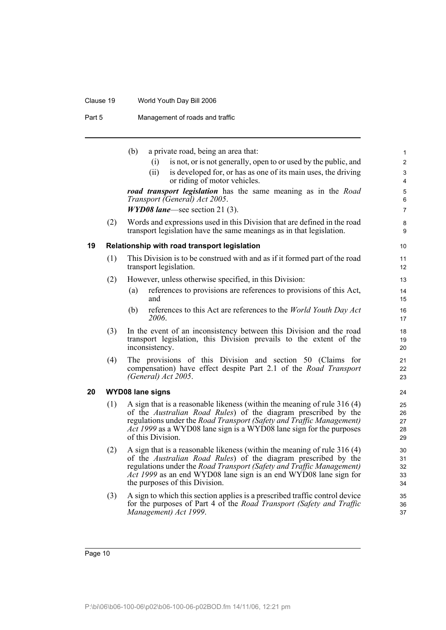### Clause 19 World Youth Day Bill 2006

Part 5 Management of roads and traffic

|    |     | (b)<br>a private road, being an area that:                                                                                                                                                                                                                                                                                          | $\mathbf{1}$                                |
|----|-----|-------------------------------------------------------------------------------------------------------------------------------------------------------------------------------------------------------------------------------------------------------------------------------------------------------------------------------------|---------------------------------------------|
|    |     | is not, or is not generally, open to or used by the public, and<br>(i)                                                                                                                                                                                                                                                              | $\overline{2}$                              |
|    |     | is developed for, or has as one of its main uses, the driving<br>(ii)<br>or riding of motor vehicles.                                                                                                                                                                                                                               | $\ensuremath{\mathsf{3}}$<br>$\overline{4}$ |
|    |     | road transport legislation has the same meaning as in the Road<br>Transport (General) Act 2005.                                                                                                                                                                                                                                     | 5<br>6                                      |
|    |     | $WYD08$ lane—see section 21 (3).                                                                                                                                                                                                                                                                                                    | $\overline{7}$                              |
|    | (2) | Words and expressions used in this Division that are defined in the road<br>transport legislation have the same meanings as in that legislation.                                                                                                                                                                                    | 8<br>9                                      |
| 19 |     | Relationship with road transport legislation                                                                                                                                                                                                                                                                                        | 10                                          |
|    | (1) | This Division is to be construed with and as if it formed part of the road<br>transport legislation.                                                                                                                                                                                                                                | 11<br>12                                    |
|    | (2) | However, unless otherwise specified, in this Division:                                                                                                                                                                                                                                                                              | 13                                          |
|    |     | references to provisions are references to provisions of this Act,<br>(a)<br>and                                                                                                                                                                                                                                                    | 14<br>15                                    |
|    |     | references to this Act are references to the World Youth Day Act<br>(b)<br>2006.                                                                                                                                                                                                                                                    | 16<br>17                                    |
|    | (3) | In the event of an inconsistency between this Division and the road<br>transport legislation, this Division prevails to the extent of the<br>inconsistency.                                                                                                                                                                         | 18<br>19<br>20                              |
|    | (4) | The provisions of this Division and section 50 (Claims for<br>compensation) have effect despite Part 2.1 of the Road Transport<br>(General) Act 2005.                                                                                                                                                                               | 21<br>22<br>23                              |
| 20 |     | <b>WYD08 lane signs</b>                                                                                                                                                                                                                                                                                                             | 24                                          |
|    | (1) | A sign that is a reasonable likeness (within the meaning of rule 316 (4)<br>of the <i>Australian Road Rules</i> ) of the diagram prescribed by the<br>regulations under the Road Transport (Safety and Traffic Management)<br>Act 1999 as a WYD08 lane sign is a WYD08 lane sign for the purposes<br>of this Division.              | 25<br>26<br>27<br>28<br>29                  |
|    | (2) | A sign that is a reasonable likeness (within the meaning of rule $316(4)$ )<br>of the <i>Australian Road Rules</i> ) of the diagram prescribed by the<br>regulations under the Road Transport (Safety and Traffic Management)<br>Act 1999 as an end WYD08 lane sign is an end WYD08 lane sign for<br>the purposes of this Division. | 30<br>31<br>32<br>33<br>34                  |
|    | (3) | A sign to which this section applies is a prescribed traffic control device<br>for the purposes of Part 4 of the Road Transport (Safety and Traffic<br>Management) Act 1999.                                                                                                                                                        | 35<br>36<br>37                              |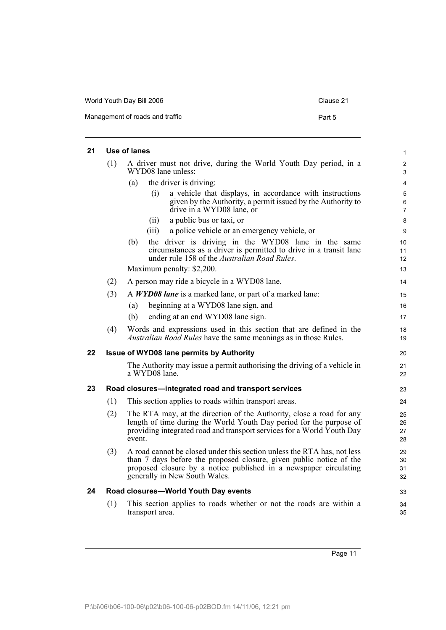| World Youth Day Bill 2006       | Clause 21 |
|---------------------------------|-----------|
| Management of roads and traffic | Part 5    |

| 21 |  |  | Use of lanes |
|----|--|--|--------------|
|----|--|--|--------------|

|    | (1) | A driver must not drive, during the World Youth Day period, in a<br>WYD08 lane unless:                                                                                                                                                               | $\overline{c}$<br>3  |
|----|-----|------------------------------------------------------------------------------------------------------------------------------------------------------------------------------------------------------------------------------------------------------|----------------------|
|    |     | the driver is driving:<br>(a)                                                                                                                                                                                                                        | 4                    |
|    |     | (i)<br>a vehicle that displays, in accordance with instructions<br>given by the Authority, a permit issued by the Authority to<br>drive in a WYD08 lane, or                                                                                          | 5<br>6<br>7          |
|    |     | a public bus or taxi, or<br>(ii)                                                                                                                                                                                                                     | 8                    |
|    |     | a police vehicle or an emergency vehicle, or<br>(iii)                                                                                                                                                                                                | 9                    |
|    |     | the driver is driving in the WYD08 lane in the same<br>(b)<br>circumstances as a driver is permitted to drive in a transit lane<br>under rule 158 of the Australian Road Rules.                                                                      | 10<br>11<br>12       |
|    |     | Maximum penalty: \$2,200.                                                                                                                                                                                                                            | 13                   |
|    | (2) | A person may ride a bicycle in a WYD08 lane.                                                                                                                                                                                                         | 14                   |
|    | (3) | A <i>WYD08 lane</i> is a marked lane, or part of a marked lane:                                                                                                                                                                                      | 15                   |
|    |     | beginning at a WYD08 lane sign, and<br>(a)                                                                                                                                                                                                           | 16                   |
|    |     | (b)<br>ending at an end WYD08 lane sign.                                                                                                                                                                                                             | 17                   |
|    | (4) | Words and expressions used in this section that are defined in the<br><i>Australian Road Rules</i> have the same meanings as in those Rules.                                                                                                         | 18<br>19             |
| 22 |     | <b>Issue of WYD08 lane permits by Authority</b>                                                                                                                                                                                                      | 20                   |
|    |     | The Authority may issue a permit authorising the driving of a vehicle in<br>a WYD08 lane.                                                                                                                                                            | 21<br>22             |
| 23 |     | Road closures—integrated road and transport services                                                                                                                                                                                                 | 23                   |
|    | (1) | This section applies to roads within transport areas.                                                                                                                                                                                                | 24                   |
|    | (2) | The RTA may, at the direction of the Authority, close a road for any<br>length of time during the World Youth Day period for the purpose of<br>providing integrated road and transport services for a World Youth Day<br>event.                      | 25<br>26<br>27<br>28 |
|    | (3) | A road cannot be closed under this section unless the RTA has, not less<br>than 7 days before the proposed closure, given public notice of the<br>proposed closure by a notice published in a newspaper circulating<br>generally in New South Wales. | 29<br>30<br>31<br>32 |
| 24 |     | Road closures-World Youth Day events                                                                                                                                                                                                                 | 33                   |
|    | (1) | This section applies to roads whether or not the roads are within a<br>transport area.                                                                                                                                                               | 34<br>35             |

Page 11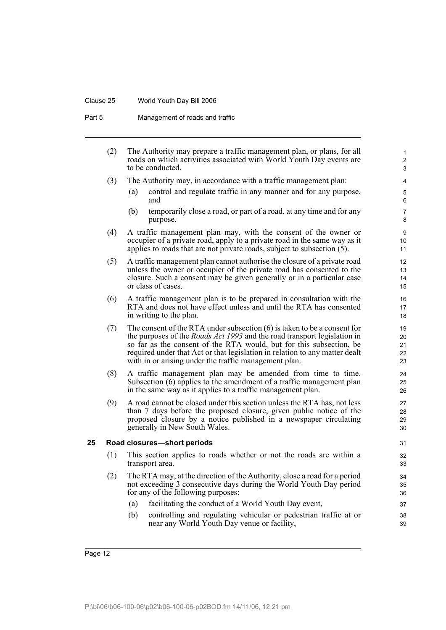### Clause 25 World Youth Day Bill 2006

Part 5 Management of roads and traffic

|    | (2) |     | The Authority may prepare a traffic management plan, or plans, for all<br>roads on which activities associated with World Youth Day events are<br>to be conducted.                                                                                                                                                                                                           | $\mathbf{1}$<br>$\overline{c}$<br>3 |
|----|-----|-----|------------------------------------------------------------------------------------------------------------------------------------------------------------------------------------------------------------------------------------------------------------------------------------------------------------------------------------------------------------------------------|-------------------------------------|
|    | (3) |     | The Authority may, in accordance with a traffic management plan:                                                                                                                                                                                                                                                                                                             | $\overline{\mathbf{4}}$             |
|    |     | (a) | control and regulate traffic in any manner and for any purpose,<br>and                                                                                                                                                                                                                                                                                                       | 5<br>6                              |
|    |     | (b) | temporarily close a road, or part of a road, at any time and for any<br>purpose.                                                                                                                                                                                                                                                                                             | $\boldsymbol{7}$<br>8               |
|    | (4) |     | A traffic management plan may, with the consent of the owner or<br>occupier of a private road, apply to a private road in the same way as it<br>applies to roads that are not private roads, subject to subsection (5).                                                                                                                                                      | 9<br>10<br>11                       |
|    | (5) |     | A traffic management plan cannot authorise the closure of a private road<br>unless the owner or occupier of the private road has consented to the<br>closure. Such a consent may be given generally or in a particular case<br>or class of cases.                                                                                                                            | 12<br>13<br>14<br>15                |
|    | (6) |     | A traffic management plan is to be prepared in consultation with the<br>RTA and does not have effect unless and until the RTA has consented<br>in writing to the plan.                                                                                                                                                                                                       | 16<br>17<br>18                      |
|    | (7) |     | The consent of the RTA under subsection $(6)$ is taken to be a consent for<br>the purposes of the <i>Roads Act 1993</i> and the road transport legislation in<br>so far as the consent of the RTA would, but for this subsection, be<br>required under that Act or that legislation in relation to any matter dealt<br>with in or arising under the traffic management plan. | 19<br>20<br>21<br>22<br>23          |
|    | (8) |     | A traffic management plan may be amended from time to time.<br>Subsection (6) applies to the amendment of a traffic management plan<br>in the same way as it applies to a traffic management plan.                                                                                                                                                                           | 24<br>25<br>26                      |
|    | (9) |     | A road cannot be closed under this section unless the RTA has, not less<br>than 7 days before the proposed closure, given public notice of the<br>proposed closure by a notice published in a newspaper circulating<br>generally in New South Wales.                                                                                                                         | 27<br>28<br>29<br>30                |
| 25 |     |     | Road closures-short periods                                                                                                                                                                                                                                                                                                                                                  | 31                                  |
|    | (1) |     | This section applies to roads whether or not the roads are within a<br>transport area.                                                                                                                                                                                                                                                                                       | 32<br>33                            |
|    | (2) |     | The RTA may, at the direction of the Authority, close a road for a period<br>not exceeding 3 consecutive days during the World Youth Day period<br>for any of the following purposes:                                                                                                                                                                                        | 34<br>35<br>36                      |
|    |     | (a) | facilitating the conduct of a World Youth Day event,                                                                                                                                                                                                                                                                                                                         | 37                                  |
|    |     | (b) | controlling and regulating vehicular or pedestrian traffic at or<br>near any World Youth Day venue or facility,                                                                                                                                                                                                                                                              | 38<br>39                            |
|    |     |     |                                                                                                                                                                                                                                                                                                                                                                              |                                     |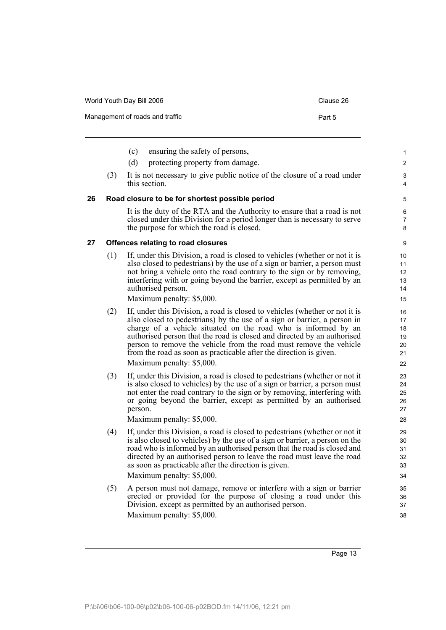|    | Management of roads and traffic<br>Part 5 |                                                                                                                                                                                                                                                                                                                                                                                                                                                                               |                                        |
|----|-------------------------------------------|-------------------------------------------------------------------------------------------------------------------------------------------------------------------------------------------------------------------------------------------------------------------------------------------------------------------------------------------------------------------------------------------------------------------------------------------------------------------------------|----------------------------------------|
|    |                                           | (c)<br>ensuring the safety of persons,<br>(d)<br>protecting property from damage.                                                                                                                                                                                                                                                                                                                                                                                             | $\mathbf{1}$<br>$\overline{2}$         |
|    | (3)                                       | It is not necessary to give public notice of the closure of a road under<br>this section.                                                                                                                                                                                                                                                                                                                                                                                     | 3<br>4                                 |
| 26 |                                           | Road closure to be for shortest possible period                                                                                                                                                                                                                                                                                                                                                                                                                               | 5                                      |
|    |                                           | It is the duty of the RTA and the Authority to ensure that a road is not<br>closed under this Division for a period longer than is necessary to serve<br>the purpose for which the road is closed.                                                                                                                                                                                                                                                                            | 6<br>7<br>8                            |
| 27 |                                           | Offences relating to road closures                                                                                                                                                                                                                                                                                                                                                                                                                                            | 9                                      |
|    | (1)                                       | If, under this Division, a road is closed to vehicles (whether or not it is<br>also closed to pedestrians) by the use of a sign or barrier, a person must<br>not bring a vehicle onto the road contrary to the sign or by removing,<br>interfering with or going beyond the barrier, except as permitted by an<br>authorised person.                                                                                                                                          | 10<br>11<br>12<br>13<br>14             |
|    |                                           | Maximum penalty: \$5,000.                                                                                                                                                                                                                                                                                                                                                                                                                                                     | 15                                     |
|    | (2)                                       | If, under this Division, a road is closed to vehicles (whether or not it is<br>also closed to pedestrians) by the use of a sign or barrier, a person in<br>charge of a vehicle situated on the road who is informed by an<br>authorised person that the road is closed and directed by an authorised<br>person to remove the vehicle from the road must remove the vehicle<br>from the road as soon as practicable after the direction is given.<br>Maximum penalty: \$5,000. | 16<br>17<br>18<br>19<br>20<br>21<br>22 |
|    | (3)                                       | If, under this Division, a road is closed to pedestrians (whether or not it<br>is also closed to vehicles) by the use of a sign or barrier, a person must<br>not enter the road contrary to the sign or by removing, interfering with<br>or going beyond the barrier, except as permitted by an authorised<br>person.<br>Maximum penalty: \$5,000.                                                                                                                            | 23<br>24<br>25<br>26<br>27<br>28       |
|    | (4)                                       | If, under this Division, a road is closed to pedestrians (whether or not it<br>is also closed to vehicles) by the use of a sign or barrier, a person on the<br>road who is informed by an authorised person that the road is closed and<br>directed by an authorised person to leave the road must leave the road<br>as soon as practicable after the direction is given.<br>Maximum penalty: \$5,000.                                                                        | 29<br>30<br>31<br>32<br>33<br>34       |
|    | (5)                                       | A person must not damage, remove or interfere with a sign or barrier<br>erected or provided for the purpose of closing a road under this<br>Division, except as permitted by an authorised person.<br>Maximum penalty: \$5,000.                                                                                                                                                                                                                                               | 35<br>36<br>37<br>38                   |

World Youth Day Bill 2006 Clause 26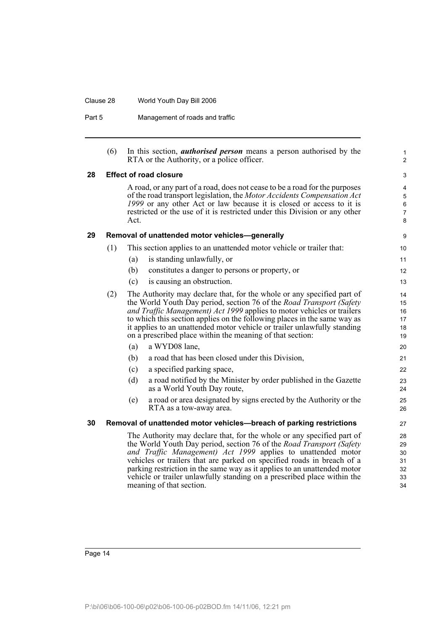### Clause 28 World Youth Day Bill 2006

 $\overline{\phantom{a}}$ 

Part 5 Management of roads and traffic

|    | (6) |                   | In this section, <i>authorised person</i> means a person authorised by the<br>RTA or the Authority, or a police officer.                                                                                                                                                                                                                                                                                                                                                           | $\mathbf{1}$<br>2                      |
|----|-----|-------------------|------------------------------------------------------------------------------------------------------------------------------------------------------------------------------------------------------------------------------------------------------------------------------------------------------------------------------------------------------------------------------------------------------------------------------------------------------------------------------------|----------------------------------------|
| 28 |     |                   | <b>Effect of road closure</b>                                                                                                                                                                                                                                                                                                                                                                                                                                                      | $\ensuremath{\mathsf{3}}$              |
|    |     | Act.              | A road, or any part of a road, does not cease to be a road for the purposes<br>of the road transport legislation, the Motor Accidents Compensation Act<br>1999 or any other Act or law because it is closed or access to it is<br>restricted or the use of it is restricted under this Division or any other                                                                                                                                                                       | 4<br>5<br>$\,6$<br>$\overline{7}$<br>8 |
| 29 |     |                   | Removal of unattended motor vehicles-generally                                                                                                                                                                                                                                                                                                                                                                                                                                     | 9                                      |
|    | (1) | (a)<br>(b)<br>(c) | This section applies to an unattended motor vehicle or trailer that:<br>is standing unlawfully, or<br>constitutes a danger to persons or property, or<br>is causing an obstruction.                                                                                                                                                                                                                                                                                                | 10<br>11<br>12<br>13                   |
|    | (2) |                   | The Authority may declare that, for the whole or any specified part of<br>the World Youth Day period, section 76 of the Road Transport (Safety<br>and Traffic Management) Act 1999 applies to motor vehicles or trailers<br>to which this section applies on the following places in the same way as<br>it applies to an unattended motor vehicle or trailer unlawfully standing<br>on a prescribed place within the meaning of that section:                                      | 14<br>15<br>16<br>17<br>18<br>19       |
|    |     | (a)               | a WYD08 lane,                                                                                                                                                                                                                                                                                                                                                                                                                                                                      | 20                                     |
|    |     | (b)               | a road that has been closed under this Division,                                                                                                                                                                                                                                                                                                                                                                                                                                   | 21                                     |
|    |     | (c)               | a specified parking space,                                                                                                                                                                                                                                                                                                                                                                                                                                                         | 22                                     |
|    |     | (d)               | a road notified by the Minister by order published in the Gazette<br>as a World Youth Day route,                                                                                                                                                                                                                                                                                                                                                                                   | 23<br>24                               |
|    |     | (e)               | a road or area designated by signs erected by the Authority or the<br>RTA as a tow-away area.                                                                                                                                                                                                                                                                                                                                                                                      | 25<br>26                               |
| 30 |     |                   | Removal of unattended motor vehicles-breach of parking restrictions                                                                                                                                                                                                                                                                                                                                                                                                                | 27                                     |
|    |     |                   | The Authority may declare that, for the whole or any specified part of<br>the World Youth Day period, section 76 of the <i>Road Transport</i> (Safety<br>and Traffic Management) Act 1999 applies to unattended motor<br>vehicles or trailers that are parked on specified roads in breach of a<br>parking restriction in the same way as it applies to an unattended motor<br>vehicle or trailer unlawfully standing on a prescribed place within the<br>meaning of that section. | 28<br>29<br>30<br>31<br>32<br>33<br>34 |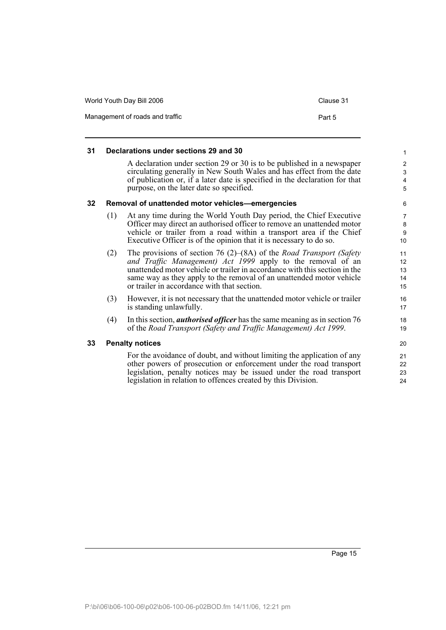| World Youth Day Bill 2006       | Clause 31 |
|---------------------------------|-----------|
| Management of roads and traffic | Part 5    |

#### **31 Declarations under sections 29 and 30**

A declaration under section 29 or 30 is to be published in a newspaper circulating generally in New South Wales and has effect from the date of publication or, if a later date is specified in the declaration for that purpose, on the later date so specified.

#### **32 Removal of unattended motor vehicles—emergencies**

- (1) At any time during the World Youth Day period, the Chief Executive Officer may direct an authorised officer to remove an unattended motor vehicle or trailer from a road within a transport area if the Chief Executive Officer is of the opinion that it is necessary to do so.
- (2) The provisions of section 76 (2)–(8A) of the *Road Transport (Safety and Traffic Management) Act 1999* apply to the removal of an unattended motor vehicle or trailer in accordance with this section in the same way as they apply to the removal of an unattended motor vehicle or trailer in accordance with that section.
- (3) However, it is not necessary that the unattended motor vehicle or trailer is standing unlawfully.
- (4) In this section, *authorised officer* has the same meaning as in section 76 of the *Road Transport (Safety and Traffic Management) Act 1999*.

#### **33 Penalty notices**

For the avoidance of doubt, and without limiting the application of any other powers of prosecution or enforcement under the road transport legislation, penalty notices may be issued under the road transport legislation in relation to offences created by this Division.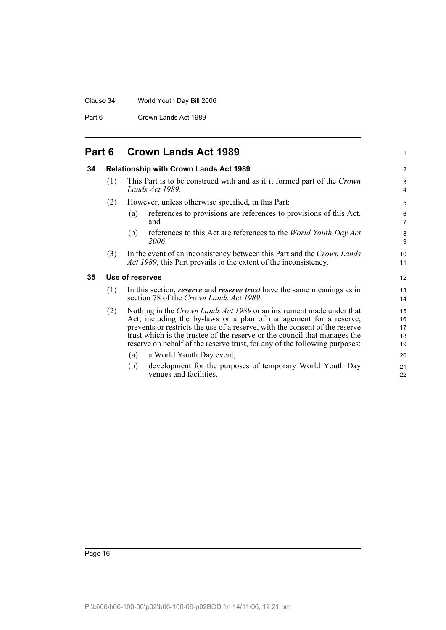### Clause 34 World Youth Day Bill 2006

Part 6 Crown Lands Act 1989

# **Part 6 Crown Lands Act 1989**

| 34 |     | <b>Relationship with Crown Lands Act 1989</b>                                                                                                                                                                                                                                                                                                                                              | $\overline{2}$             |
|----|-----|--------------------------------------------------------------------------------------------------------------------------------------------------------------------------------------------------------------------------------------------------------------------------------------------------------------------------------------------------------------------------------------------|----------------------------|
|    | (1) | This Part is to be construed with and as if it formed part of the Crown<br>Lands Act 1989.                                                                                                                                                                                                                                                                                                 | 3<br>4                     |
|    | (2) | However, unless otherwise specified, in this Part:                                                                                                                                                                                                                                                                                                                                         | 5                          |
|    |     | references to provisions are references to provisions of this Act,<br>(a)<br>and                                                                                                                                                                                                                                                                                                           | 6<br>$\overline{7}$        |
|    |     | references to this Act are references to the <i>World Youth Day Act</i><br>(b)<br>2006.                                                                                                                                                                                                                                                                                                    | 8<br>9                     |
|    | (3) | In the event of an inconsistency between this Part and the Crown Lands<br>Act 1989, this Part prevails to the extent of the inconsistency.                                                                                                                                                                                                                                                 | 10 <sup>1</sup><br>11      |
| 35 |     | Use of reserves                                                                                                                                                                                                                                                                                                                                                                            | 12 <sup>2</sup>            |
|    | (1) | In this section, <i>reserve</i> and <i>reserve trust</i> have the same meanings as in<br>section 78 of the Crown Lands Act 1989.                                                                                                                                                                                                                                                           | 13<br>14                   |
|    | (2) | Nothing in the <i>Crown Lands Act 1989</i> or an instrument made under that<br>Act, including the by-laws or a plan of management for a reserve,<br>prevents or restricts the use of a reserve, with the consent of the reserve<br>trust which is the trustee of the reserve or the council that manages the<br>reserve on behalf of the reserve trust, for any of the following purposes: | 15<br>16<br>17<br>18<br>19 |
|    |     | a World Youth Day event,<br>(a)                                                                                                                                                                                                                                                                                                                                                            | 20                         |
|    |     | development for the purposes of temporary World Youth Day<br>(b)<br>venues and facilities.                                                                                                                                                                                                                                                                                                 | 21<br>22                   |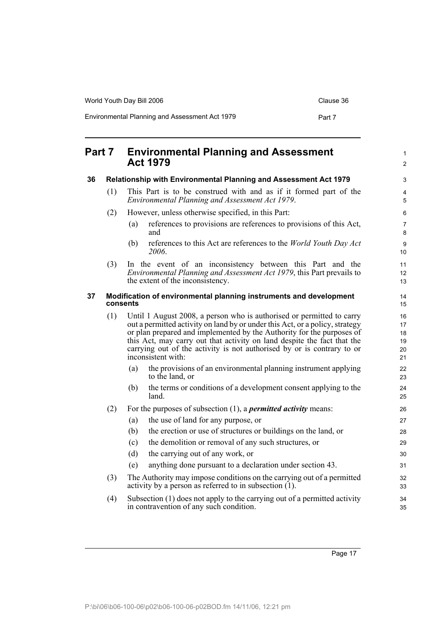| World Youth Day Bill 2006                      | Clause 36 |
|------------------------------------------------|-----------|
| Environmental Planning and Assessment Act 1979 | Part 7    |

### **Part 7 Environmental Planning and Assessment Act 1979**

#### **36 Relationship with Environmental Planning and Assessment Act 1979** (1) This Part is to be construed with and as if it formed part of the *Environmental Planning and Assessment Act 1979*. (2) However, unless otherwise specified, in this Part: (a) references to provisions are references to provisions of this Act, and (b) references to this Act are references to the *World Youth Day Act 2006*. (3) In the event of an inconsistency between this Part and the *Environmental Planning and Assessment Act 1979*, this Part prevails to the extent of the inconsistency. **37 Modification of environmental planning instruments and development consents** (1) Until 1 August 2008, a person who is authorised or permitted to carry out a permitted activity on land by or under this Act, or a policy, strategy or plan prepared and implemented by the Authority for the purposes of this Act, may carry out that activity on land despite the fact that the carrying out of the activity is not authorised by or is contrary to or inconsistent with: (a) the provisions of an environmental planning instrument applying to the land, or (b) the terms or conditions of a development consent applying to the land. (2) For the purposes of subsection (1), a *permitted activity* means: (a) the use of land for any purpose, or (b) the erection or use of structures or buildings on the land, or (c) the demolition or removal of any such structures, or (d) the carrying out of any work, or (e) anything done pursuant to a declaration under section 43. (3) The Authority may impose conditions on the carrying out of a permitted activity by a person as referred to in subsection (1). (4) Subsection (1) does not apply to the carrying out of a permitted activity in contravention of any such condition.  $\overline{a}$ 4 5 6 7 8  $\alpha$ 10 11 12 13 14 15 16 17 18 19 20 21  $22$ 23 24 25 26 27 28 29 30 31 32 33 34 35

Page 17

1  $\mathfrak{p}$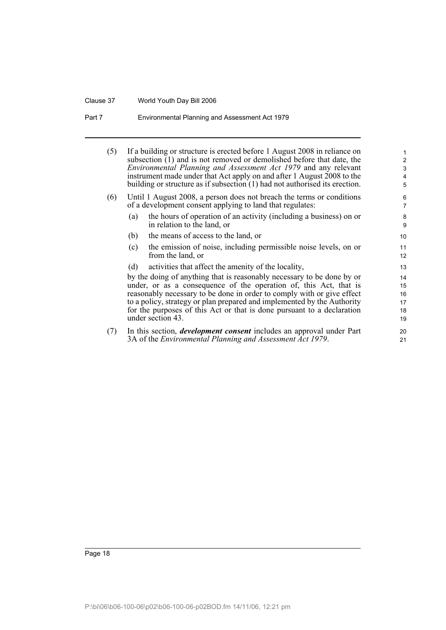#### Clause 37 World Youth Day Bill 2006

| Part 7 | Environmental Planning and Assessment Act 1979 |
|--------|------------------------------------------------|
|--------|------------------------------------------------|

| (5) | If a building or structure is erected before 1 August 2008 in reliance on<br>subsection (1) and is not removed or demolished before that date, the<br>Environmental Planning and Assessment Act 1979 and any relevant<br>instrument made under that Act apply on and after 1 August 2008 to the<br>building or structure as if subsection (1) had not authorised its erection. |  |
|-----|--------------------------------------------------------------------------------------------------------------------------------------------------------------------------------------------------------------------------------------------------------------------------------------------------------------------------------------------------------------------------------|--|
| (6) | Until 1 August 2008, a person does not breach the terms or conditions<br>of a development consent applying to land that regulates:                                                                                                                                                                                                                                             |  |

- (a) the hours of operation of an activity (including a business) on or in relation to the land, or
- (b) the means of access to the land, or
- (c) the emission of noise, including permissible noise levels, on or from the land, or
- (d) activities that affect the amenity of the locality,

by the doing of anything that is reasonably necessary to be done by or under, or as a consequence of the operation of, this Act, that is reasonably necessary to be done in order to comply with or give effect to a policy, strategy or plan prepared and implemented by the Authority for the purposes of this Act or that is done pursuant to a declaration under section 43.

(7) In this section, *development consent* includes an approval under Part 3A of the *Environmental Planning and Assessment Act 1979*.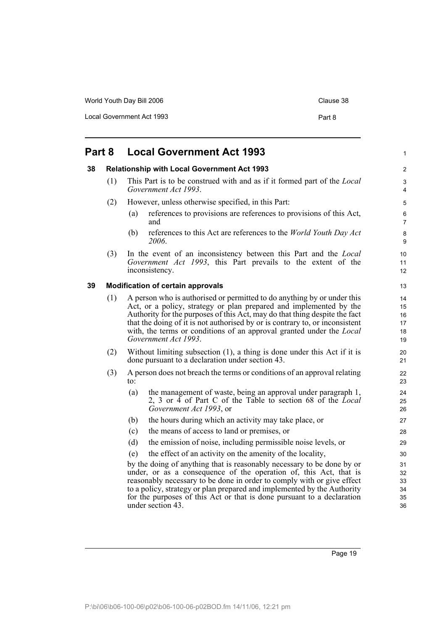World Youth Day Bill 2006 Clause 38 Local Government Act 1993 **Part 8** 

| Part 8 |     | <b>Local Government Act 1993</b>                                                                                                                                                                                                                                                                                                                                                                            | $\mathbf{1}$                     |
|--------|-----|-------------------------------------------------------------------------------------------------------------------------------------------------------------------------------------------------------------------------------------------------------------------------------------------------------------------------------------------------------------------------------------------------------------|----------------------------------|
| 38     |     | <b>Relationship with Local Government Act 1993</b>                                                                                                                                                                                                                                                                                                                                                          | $\overline{c}$                   |
|        | (1) | This Part is to be construed with and as if it formed part of the <i>Local</i><br>Government Act 1993.                                                                                                                                                                                                                                                                                                      | $\ensuremath{\mathsf{3}}$<br>4   |
|        | (2) | However, unless otherwise specified, in this Part:                                                                                                                                                                                                                                                                                                                                                          | $\mathbf 5$                      |
|        |     | references to provisions are references to provisions of this Act,<br>(a)<br>and                                                                                                                                                                                                                                                                                                                            | 6<br>$\overline{7}$              |
|        |     | references to this Act are references to the World Youth Day Act<br>(b)<br>2006.                                                                                                                                                                                                                                                                                                                            | $\bf8$<br>9                      |
|        | (3) | In the event of an inconsistency between this Part and the <i>Local</i><br>Government Act 1993, this Part prevails to the extent of the<br>inconsistency.                                                                                                                                                                                                                                                   | 10<br>11<br>12                   |
| 39     |     | <b>Modification of certain approvals</b>                                                                                                                                                                                                                                                                                                                                                                    | 13                               |
|        | (1) | A person who is authorised or permitted to do anything by or under this<br>Act, or a policy, strategy or plan prepared and implemented by the<br>Authority for the purposes of this Act, may do that thing despite the fact<br>that the doing of it is not authorised by or is contrary to, or inconsistent<br>with, the terms or conditions of an approval granted under the Local<br>Government Act 1993. | 14<br>15<br>16<br>17<br>18<br>19 |
|        | (2) | Without limiting subsection $(1)$ , a thing is done under this Act if it is<br>done pursuant to a declaration under section 43.                                                                                                                                                                                                                                                                             | 20<br>21                         |
|        | (3) | A person does not breach the terms or conditions of an approval relating<br>to:                                                                                                                                                                                                                                                                                                                             | 22<br>23                         |
|        |     | the management of waste, being an approval under paragraph 1,<br>(a)<br>2, 3 or 4 of Part C of the Table to section 68 of the Local<br>Government Act 1993, or                                                                                                                                                                                                                                              | 24<br>25<br>26                   |
|        |     | the hours during which an activity may take place, or<br>(b)                                                                                                                                                                                                                                                                                                                                                | 27                               |
|        |     | the means of access to land or premises, or<br>(c)                                                                                                                                                                                                                                                                                                                                                          | 28                               |
|        |     | (d)<br>the emission of noise, including permissible noise levels, or                                                                                                                                                                                                                                                                                                                                        | 29                               |
|        |     | the effect of an activity on the amenity of the locality,<br>(e)                                                                                                                                                                                                                                                                                                                                            | 30                               |
|        |     | by the doing of anything that is reasonably necessary to be done by or<br>under, or as a consequence of the operation of, this Act, that is<br>reasonably necessary to be done in order to comply with or give effect<br>to a policy, strategy or plan prepared and implemented by the Authority<br>for the purposes of this Act or that is done pursuant to a declaration                                  | 31<br>32<br>33<br>34<br>35       |

Page 19

36

under section 43.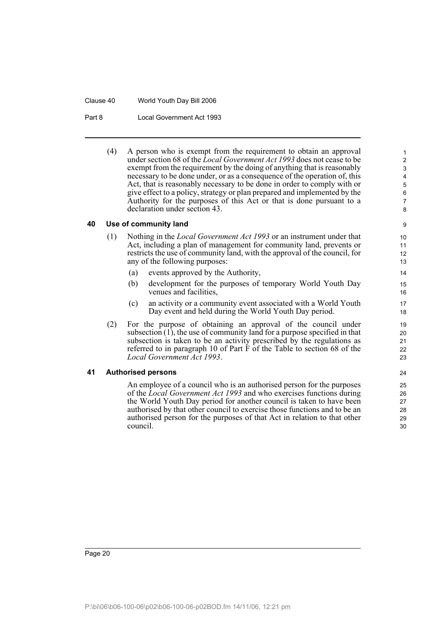Clause 40 World Youth Day Bill 2006

Part 8 Local Government Act 1993

(4) A person who is exempt from the requirement to obtain an approval under section 68 of the *Local Government Act 1993* does not cease to be exempt from the requirement by the doing of anything that is reasonably necessary to be done under, or as a consequence of the operation of, this Act, that is reasonably necessary to be done in order to comply with or give effect to a policy, strategy or plan prepared and implemented by the Authority for the purposes of this Act or that is done pursuant to a declaration under section 43.

#### **40 Use of community land**

- (1) Nothing in the *Local Government Act 1993* or an instrument under that Act, including a plan of management for community land, prevents or restricts the use of community land, with the approval of the council, for any of the following purposes:
	- (a) events approved by the Authority,
	- (b) development for the purposes of temporary World Youth Day venues and facilities,
	- (c) an activity or a community event associated with a World Youth Day event and held during the World Youth Day period.
- (2) For the purpose of obtaining an approval of the council under subsection (1), the use of community land for a purpose specified in that subsection is taken to be an activity prescribed by the regulations as referred to in paragraph 10 of Part F of the Table to section 68 of the *Local Government Act 1993*.

#### **41 Authorised persons**

An employee of a council who is an authorised person for the purposes of the *Local Government Act 1993* and who exercises functions during the World Youth Day period for another council is taken to have been authorised by that other council to exercise those functions and to be an authorised person for the purposes of that Act in relation to that other council.

24 25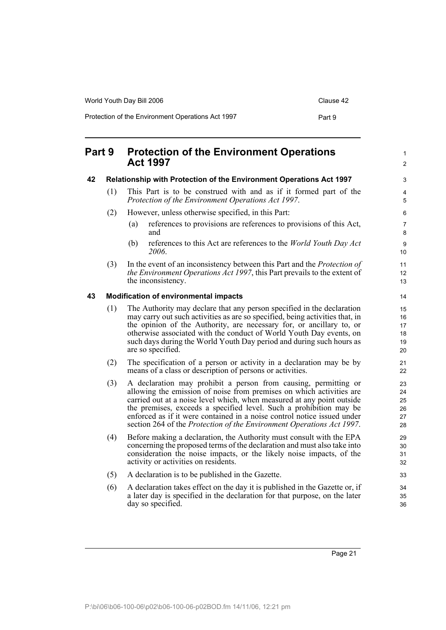| World Youth Day Bill 2006                         | Clause 42 |
|---------------------------------------------------|-----------|
| Protection of the Environment Operations Act 1997 | Part 9    |

# **Part 9 Protection of the Environment Operations Act 1997**

#### **42 Relationship with Protection of the Environment Operations Act 1997**

- (1) This Part is to be construed with and as if it formed part of the *Protection of the Environment Operations Act 1997*.
- (2) However, unless otherwise specified, in this Part:
	- (a) references to provisions are references to provisions of this Act, and
	- (b) references to this Act are references to the *World Youth Day Act 2006*.
- (3) In the event of an inconsistency between this Part and the *Protection of the Environment Operations Act 1997*, this Part prevails to the extent of the inconsistency.

#### **43 Modification of environmental impacts**

- (1) The Authority may declare that any person specified in the declaration may carry out such activities as are so specified, being activities that, in the opinion of the Authority, are necessary for, or ancillary to, or otherwise associated with the conduct of World Youth Day events, on such days during the World Youth Day period and during such hours as are so specified.
- (2) The specification of a person or activity in a declaration may be by means of a class or description of persons or activities.
- (3) A declaration may prohibit a person from causing, permitting or allowing the emission of noise from premises on which activities are carried out at a noise level which, when measured at any point outside the premises, exceeds a specified level. Such a prohibition may be enforced as if it were contained in a noise control notice issued under section 264 of the *Protection of the Environment Operations Act 1997*.
- (4) Before making a declaration, the Authority must consult with the EPA concerning the proposed terms of the declaration and must also take into consideration the noise impacts, or the likely noise impacts, of the activity or activities on residents.
- (5) A declaration is to be published in the Gazette.
- (6) A declaration takes effect on the day it is published in the Gazette or, if a later day is specified in the declaration for that purpose, on the later day so specified.

1  $\mathfrak{p}$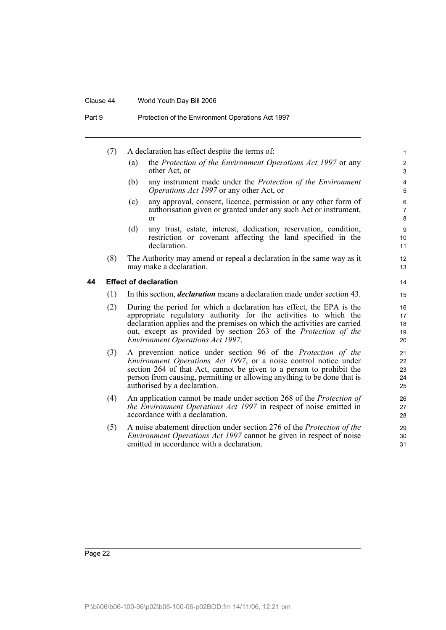### Clause 44 World Youth Day Bill 2006

| (7) | A declaration has effect despite the terms of:                                                                                                                                                                                                                                                                                     |  |
|-----|------------------------------------------------------------------------------------------------------------------------------------------------------------------------------------------------------------------------------------------------------------------------------------------------------------------------------------|--|
|     | the Protection of the Environment Operations Act 1997 or any<br>(a)<br>other Act, or                                                                                                                                                                                                                                               |  |
|     | any instrument made under the Protection of the Environment<br>(b)<br>Operations Act 1997 or any other Act, or                                                                                                                                                                                                                     |  |
|     | any approval, consent, licence, permission or any other form of<br>(c)<br>authorisation given or granted under any such Act or instrument,<br>$\alpha$                                                                                                                                                                             |  |
|     | (d)<br>any trust, estate, interest, dedication, reservation, condition,<br>restriction or covenant affecting the land specified in the<br>declaration.                                                                                                                                                                             |  |
| (8) | The Authority may amend or repeal a declaration in the same way as it<br>may make a declaration.                                                                                                                                                                                                                                   |  |
|     | <b>Effect of declaration</b>                                                                                                                                                                                                                                                                                                       |  |
| (1) | In this section, <i>declaration</i> means a declaration made under section 43.                                                                                                                                                                                                                                                     |  |
| (2) | During the period for which a declaration has effect, the EPA is the<br>appropriate regulatory authority for the activities to which the<br>declaration applies and the premises on which the activities are carried<br>out, except as provided by section 263 of the Protection of the<br><b>Environment Operations Act 1997.</b> |  |
| (3) | A prevention notice under section 96 of the <i>Protection of the</i><br>Environment Operations Act 1997, or a noise control notice under<br>section 264 of that Act, cannot be given to a person to prohibit the<br>person from causing, permitting or allowing anything to be done that is<br>authorised by a declaration.        |  |
| (4) | An application cannot be made under section 268 of the <i>Protection of</i><br>the Environment Operations Act 1997 in respect of noise emitted in<br>accordance with a declaration.                                                                                                                                                |  |
| (5) | A noise abatement direction under section 276 of the Protection of the<br><i>Environment Operations Act 1997</i> cannot be given in respect of noise<br>emitted in accordance with a declaration.                                                                                                                                  |  |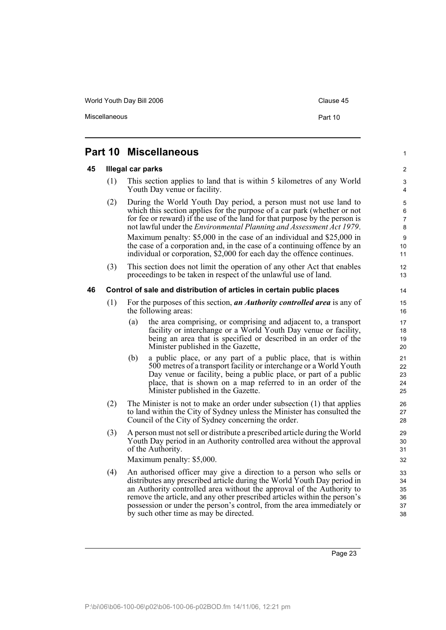World Youth Day Bill 2006 Controlled the Clause 45

Miscellaneous **Part 10** 

1

# **Part 10 Miscellaneous**

#### **45 Illegal car parks**

- (1) This section applies to land that is within 5 kilometres of any World Youth Day venue or facility.
- (2) During the World Youth Day period, a person must not use land to which this section applies for the purpose of a car park (whether or not for fee or reward) if the use of the land for that purpose by the person is not lawful under the *Environmental Planning and Assessment Act 1979*. Maximum penalty: \$5,000 in the case of an individual and \$25,000 in the case of a corporation and, in the case of a continuing offence by an individual or corporation, \$2,000 for each day the offence continues.
- (3) This section does not limit the operation of any other Act that enables proceedings to be taken in respect of the unlawful use of land.

#### **46 Control of sale and distribution of articles in certain public places**

- (1) For the purposes of this section, *an Authority controlled area* is any of the following areas:
	- (a) the area comprising, or comprising and adjacent to, a transport facility or interchange or a World Youth Day venue or facility, being an area that is specified or described in an order of the Minister published in the Gazette,
	- (b) a public place, or any part of a public place, that is within 500 metres of a transport facility or interchange or a World Youth Day venue or facility, being a public place, or part of a public place, that is shown on a map referred to in an order of the Minister published in the Gazette.
- (2) The Minister is not to make an order under subsection (1) that applies to land within the City of Sydney unless the Minister has consulted the Council of the City of Sydney concerning the order.
- (3) A person must not sell or distribute a prescribed article during the World Youth Day period in an Authority controlled area without the approval of the Authority.

Maximum penalty: \$5,000.

(4) An authorised officer may give a direction to a person who sells or distributes any prescribed article during the World Youth Day period in an Authority controlled area without the approval of the Authority to remove the article, and any other prescribed articles within the person's possession or under the person's control, from the area immediately or by such other time as may be directed.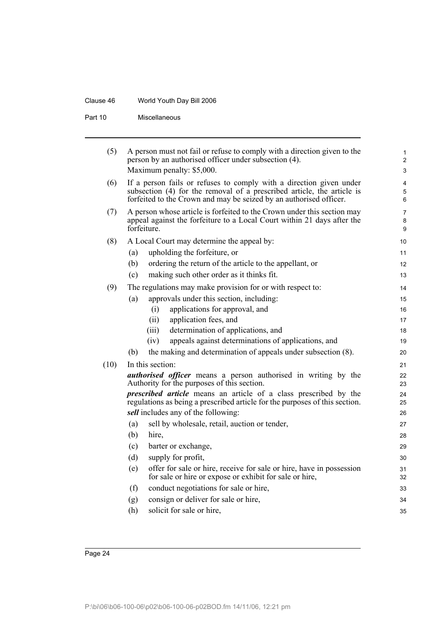# Clause 46 World Youth Day Bill 2006

Part 10 Miscellaneous

| (5)  |     | A person must not fail or refuse to comply with a direction given to the<br>person by an authorised officer under subsection (4).                                                                                   | $\mathbf{1}$<br>$\overline{2}$ |
|------|-----|---------------------------------------------------------------------------------------------------------------------------------------------------------------------------------------------------------------------|--------------------------------|
|      |     | Maximum penalty: \$5,000.                                                                                                                                                                                           | 3                              |
| (6)  |     | If a person fails or refuses to comply with a direction given under<br>subsection (4) for the removal of a prescribed article, the article is<br>forfeited to the Crown and may be seized by an authorised officer. | 4<br>5<br>6                    |
| (7)  |     | A person whose article is forfeited to the Crown under this section may<br>appeal against the forfeiture to a Local Court within 21 days after the<br>forfeiture.                                                   | $\overline{7}$<br>8<br>9       |
| (8)  |     | A Local Court may determine the appeal by:                                                                                                                                                                          | 10                             |
|      | (a) | upholding the forfeiture, or                                                                                                                                                                                        | 11                             |
|      | (b) | ordering the return of the article to the appellant, or                                                                                                                                                             | 12                             |
|      | (c) | making such other order as it thinks fit.                                                                                                                                                                           | 13                             |
| (9)  |     | The regulations may make provision for or with respect to:                                                                                                                                                          | 14                             |
|      | (a) | approvals under this section, including:                                                                                                                                                                            | 15                             |
|      |     | applications for approval, and<br>(i)                                                                                                                                                                               | 16                             |
|      |     | application fees, and<br>(ii)                                                                                                                                                                                       | 17                             |
|      |     | determination of applications, and<br>(iii)                                                                                                                                                                         | 18                             |
|      |     | appeals against determinations of applications, and<br>(iv)                                                                                                                                                         | 19                             |
|      | (b) | the making and determination of appeals under subsection (8).                                                                                                                                                       | 20                             |
| (10) |     | In this section:                                                                                                                                                                                                    | 21                             |
|      |     | <i>authorised officer</i> means a person authorised in writing by the<br>Authority for the purposes of this section.                                                                                                | 22<br>23                       |
|      |     | <i>prescribed article</i> means an article of a class prescribed by the<br>regulations as being a prescribed article for the purposes of this section.                                                              | 24<br>25                       |
|      |     | sell includes any of the following:                                                                                                                                                                                 | 26                             |
|      | (a) | sell by wholesale, retail, auction or tender,                                                                                                                                                                       | 27                             |
|      | (b) | hire,                                                                                                                                                                                                               | 28                             |
|      | (c) | barter or exchange,                                                                                                                                                                                                 | 29                             |
|      | (d) | supply for profit,                                                                                                                                                                                                  | 30                             |
|      | (e) | offer for sale or hire, receive for sale or hire, have in possession<br>for sale or hire or expose or exhibit for sale or hire,                                                                                     | 31<br>32                       |
|      | (f) | conduct negotiations for sale or hire,                                                                                                                                                                              | 33                             |
|      | (g) | consign or deliver for sale or hire,                                                                                                                                                                                | 34                             |
|      | (h) | solicit for sale or hire,                                                                                                                                                                                           | 35                             |
|      |     |                                                                                                                                                                                                                     |                                |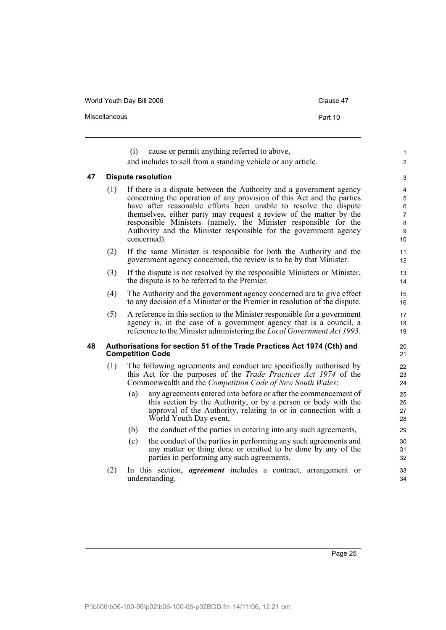World Youth Day Bill 2006 Controlled the Clause 47 Clause 47

Miscellaneous **Part 10** 

1  $\overline{2}$ 

(i) cause or permit anything referred to above,

and includes to sell from a standing vehicle or any article.

#### **47 Dispute resolution**

- (1) If there is a dispute between the Authority and a government agency concerning the operation of any provision of this Act and the parties have after reasonable efforts been unable to resolve the dispute themselves, either party may request a review of the matter by the responsible Ministers (namely, the Minister responsible for the Authority and the Minister responsible for the government agency concerned).
- (2) If the same Minister is responsible for both the Authority and the government agency concerned, the review is to be by that Minister.
- (3) If the dispute is not resolved by the responsible Ministers or Minister, the dispute is to be referred to the Premier.
- (4) The Authority and the government agency concerned are to give effect to any decision of a Minister or the Premier in resolution of the dispute.
- (5) A reference in this section to the Minister responsible for a government agency is, in the case of a government agency that is a council, a reference to the Minister administering the *Local Government Act 1993*.

#### **48 Authorisations for section 51 of the Trade Practices Act 1974 (Cth) and Competition Code**

- (1) The following agreements and conduct are specifically authorised by this Act for the purposes of the *Trade Practices Act 1974* of the Commonwealth and the *Competition Code of New South Wales*:
	- (a) any agreements entered into before or after the commencement of this section by the Authority, or by a person or body with the approval of the Authority, relating to or in connection with a World Youth Day event,
	- (b) the conduct of the parties in entering into any such agreements,
	- (c) the conduct of the parties in performing any such agreements and any matter or thing done or omitted to be done by any of the parties in performing any such agreements.
- (2) In this section, *agreement* includes a contract, arrangement or understanding.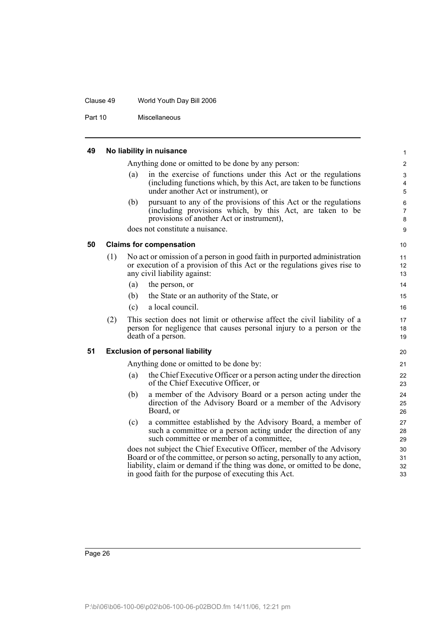#### Clause 49 World Youth Day Bill 2006

Part 10 Miscellaneous

#### **49 No liability in nuisance** Anything done or omitted to be done by any person: (a) in the exercise of functions under this Act or the regulations (including functions which, by this Act, are taken to be functions under another Act or instrument), or (b) pursuant to any of the provisions of this Act or the regulations (including provisions which, by this Act, are taken to be provisions of another Act or instrument), does not constitute a nuisance. **50 Claims for compensation** (1) No act or omission of a person in good faith in purported administration or execution of a provision of this Act or the regulations gives rise to any civil liability against: (a) the person, or (b) the State or an authority of the State, or (c) a local council. (2) This section does not limit or otherwise affect the civil liability of a person for negligence that causes personal injury to a person or the death of a person. **51 Exclusion of personal liability** Anything done or omitted to be done by: (a) the Chief Executive Officer or a person acting under the direction of the Chief Executive Officer, or (b) a member of the Advisory Board or a person acting under the direction of the Advisory Board or a member of the Advisory Board, or (c) a committee established by the Advisory Board, a member of such a committee or a person acting under the direction of any such committee or member of a committee, does not subject the Chief Executive Officer, member of the Advisory Board or of the committee, or person so acting, personally to any action, liability, claim or demand if the thing was done, or omitted to be done, in good faith for the purpose of executing this Act. 1 2 3 4 5 6 7 8 9 10 11 12 13 14 15 16 17 18 19 20 21  $22$ 23 24 25 26 27 28 29 30 31 32 33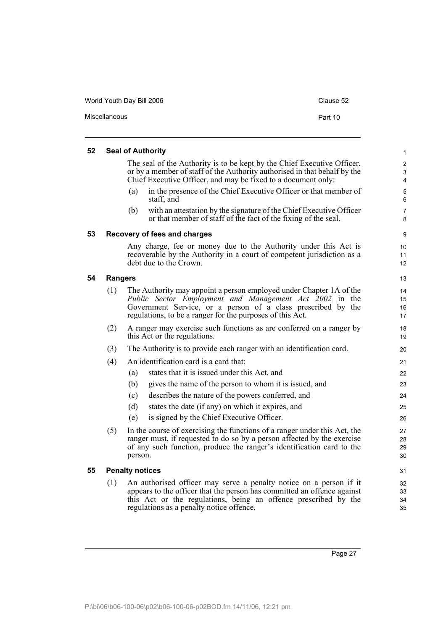| Miscellaneous |                | Part 10                                                                                                                                                                                                                                                      |  |
|---------------|----------------|--------------------------------------------------------------------------------------------------------------------------------------------------------------------------------------------------------------------------------------------------------------|--|
| 52            |                | <b>Seal of Authority</b>                                                                                                                                                                                                                                     |  |
|               |                | The seal of the Authority is to be kept by the Chief Executive Officer,<br>or by a member of staff of the Authority authorised in that behalf by the<br>Chief Executive Officer, and may be fixed to a document only:                                        |  |
|               |                | in the presence of the Chief Executive Officer or that member of<br>(a)<br>staff, and                                                                                                                                                                        |  |
|               |                | with an attestation by the signature of the Chief Executive Officer<br>(b)<br>or that member of staff of the fact of the fixing of the seal.                                                                                                                 |  |
| 53            |                | Recovery of fees and charges                                                                                                                                                                                                                                 |  |
|               |                | Any charge, fee or money due to the Authority under this Act is<br>recoverable by the Authority in a court of competent jurisdiction as a<br>debt due to the Crown.                                                                                          |  |
| 54            | <b>Rangers</b> |                                                                                                                                                                                                                                                              |  |
|               | (1)            | The Authority may appoint a person employed under Chapter 1A of the<br>Public Sector Employment and Management Act 2002 in the<br>Government Service, or a person of a class prescribed by the<br>regulations, to be a ranger for the purposes of this Act.  |  |
|               | (2)            | A ranger may exercise such functions as are conferred on a ranger by<br>this Act or the regulations.                                                                                                                                                         |  |
|               | (3)            | The Authority is to provide each ranger with an identification card.                                                                                                                                                                                         |  |
|               | (4)            | An identification card is a card that:                                                                                                                                                                                                                       |  |
|               |                | states that it is issued under this Act, and<br>(a)                                                                                                                                                                                                          |  |
|               |                | gives the name of the person to whom it is issued, and<br>(b)                                                                                                                                                                                                |  |
|               |                | describes the nature of the powers conferred, and<br>(c)                                                                                                                                                                                                     |  |
|               |                | (d)<br>states the date (if any) on which it expires, and                                                                                                                                                                                                     |  |
|               |                | is signed by the Chief Executive Officer.<br>(e)                                                                                                                                                                                                             |  |
|               | (5)            | In the course of exercising the functions of a ranger under this Act, the<br>ranger must, if requested to do so by a person affected by the exercise<br>of any such function, produce the ranger's identification card to the<br>person.                     |  |
| 55            |                | <b>Penalty notices</b>                                                                                                                                                                                                                                       |  |
|               | (1)            | An authorised officer may serve a penalty notice on a person if it<br>appears to the officer that the person has committed an offence against<br>this Act or the regulations, being an offence prescribed by the<br>regulations as a penalty notice offence. |  |

World Youth Day Bill 2006 Clause 52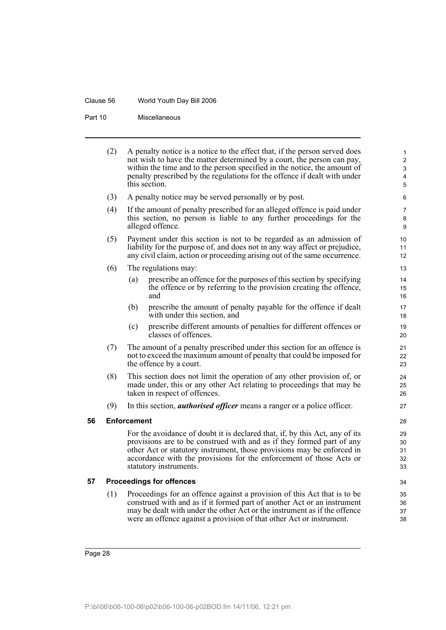#### Clause 56 World Youth Day Bill 2006

Part 10 Miscellaneous

|    | (2) |                    | A penalty notice is a notice to the effect that, if the person served does<br>not wish to have the matter determined by a court, the person can pay,<br>within the time and to the person specified in the notice, the amount of<br>penalty prescribed by the regulations for the offence if dealt with under<br>this section.  | $\mathbf{1}$<br>$\boldsymbol{2}$<br>3<br>$\overline{4}$<br>5 |
|----|-----|--------------------|---------------------------------------------------------------------------------------------------------------------------------------------------------------------------------------------------------------------------------------------------------------------------------------------------------------------------------|--------------------------------------------------------------|
|    | (3) |                    | A penalty notice may be served personally or by post.                                                                                                                                                                                                                                                                           | 6                                                            |
|    | (4) |                    | If the amount of penalty prescribed for an alleged offence is paid under<br>this section, no person is liable to any further proceedings for the<br>alleged offence.                                                                                                                                                            | 7<br>8<br>9                                                  |
|    | (5) |                    | Payment under this section is not to be regarded as an admission of<br>liability for the purpose of, and does not in any way affect or prejudice,<br>any civil claim, action or proceeding arising out of the same occurrence.                                                                                                  | 10<br>11<br>12                                               |
|    | (6) |                    | The regulations may:                                                                                                                                                                                                                                                                                                            | 13                                                           |
|    |     | (a)                | prescribe an offence for the purposes of this section by specifying<br>the offence or by referring to the provision creating the offence,<br>and                                                                                                                                                                                | 14<br>15<br>16                                               |
|    |     | (b)                | prescribe the amount of penalty payable for the offence if dealt<br>with under this section, and                                                                                                                                                                                                                                | 17<br>18                                                     |
|    |     | (c)                | prescribe different amounts of penalties for different offences or<br>classes of offences.                                                                                                                                                                                                                                      | 19<br>20                                                     |
|    | (7) |                    | The amount of a penalty prescribed under this section for an offence is<br>not to exceed the maximum amount of penalty that could be imposed for<br>the offence by a court.                                                                                                                                                     | 21<br>22<br>23                                               |
|    | (8) |                    | This section does not limit the operation of any other provision of, or<br>made under, this or any other Act relating to proceedings that may be<br>taken in respect of offences.                                                                                                                                               | 24<br>25<br>26                                               |
|    | (9) |                    | In this section, <i>authorised officer</i> means a ranger or a police officer.                                                                                                                                                                                                                                                  | 27                                                           |
| 56 |     | <b>Enforcement</b> |                                                                                                                                                                                                                                                                                                                                 | 28                                                           |
|    |     |                    | For the avoidance of doubt it is declared that, if, by this Act, any of its<br>provisions are to be construed with and as if they formed part of any<br>other Act or statutory instrument, those provisions may be enforced in<br>accordance with the provisions for the enforcement of those Acts or<br>statutory instruments. | 29<br>30<br>31<br>32<br>33                                   |
| 57 |     |                    | <b>Proceedings for offences</b>                                                                                                                                                                                                                                                                                                 | 34                                                           |
|    | (1) |                    | Proceedings for an offence against a provision of this Act that is to be                                                                                                                                                                                                                                                        | 35                                                           |

(1) Proceedings for an offence against a provision of this Act that is to be construed with and as if it formed part of another Act or an instrument may be dealt with under the other Act or the instrument as if the offence were an offence against a provision of that other Act or instrument.

36 37 38

**56 Enforcement**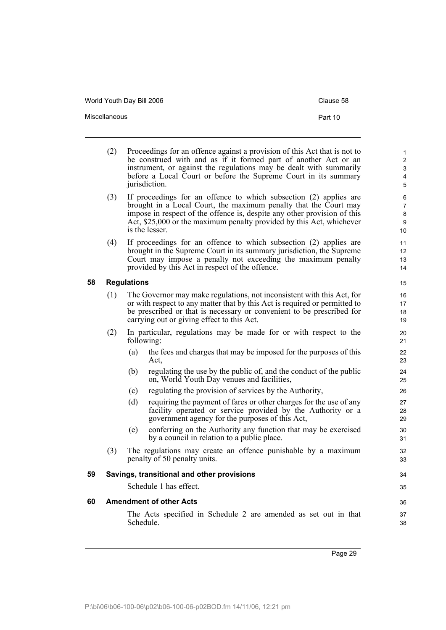World Youth Day Bill 2006 Clause 58

Miscellaneous **Part 10** 

|    | (2) |                    | Proceedings for an offence against a provision of this Act that is not to<br>be construed with and as if it formed part of another Act or an<br>instrument, or against the regulations may be dealt with summarily<br>before a Local Court or before the Supreme Court in its summary<br>jurisdiction.      | $\mathbf{1}$<br>$\overline{2}$<br>3<br>4<br>5    |
|----|-----|--------------------|-------------------------------------------------------------------------------------------------------------------------------------------------------------------------------------------------------------------------------------------------------------------------------------------------------------|--------------------------------------------------|
|    | (3) |                    | If proceedings for an offence to which subsection (2) applies are<br>brought in a Local Court, the maximum penalty that the Court may<br>impose in respect of the offence is, despite any other provision of this<br>Act, \$25,000 or the maximum penalty provided by this Act, whichever<br>is the lesser. | 6<br>$\overline{7}$<br>8<br>9<br>10 <sup>1</sup> |
|    | (4) |                    | If proceedings for an offence to which subsection (2) applies are<br>brought in the Supreme Court in its summary jurisdiction, the Supreme<br>Court may impose a penalty not exceeding the maximum penalty<br>provided by this Act in respect of the offence.                                               | 11<br>12 <sup>°</sup><br>13<br>14                |
| 58 |     | <b>Regulations</b> |                                                                                                                                                                                                                                                                                                             | 15                                               |
|    | (1) |                    | The Governor may make regulations, not inconsistent with this Act, for<br>or with respect to any matter that by this Act is required or permitted to<br>be prescribed or that is necessary or convenient to be prescribed for<br>carrying out or giving effect to this Act.                                 | 16<br>17<br>18<br>19                             |
|    | (2) |                    | In particular, regulations may be made for or with respect to the<br>following:                                                                                                                                                                                                                             | 20<br>21                                         |
|    |     | (a)                | the fees and charges that may be imposed for the purposes of this<br>Act,                                                                                                                                                                                                                                   | 22<br>23                                         |
|    |     | (b)                | regulating the use by the public of, and the conduct of the public<br>on, World Youth Day venues and facilities,                                                                                                                                                                                            | 24<br>25                                         |
|    |     | (c)                | regulating the provision of services by the Authority,                                                                                                                                                                                                                                                      | 26                                               |
|    |     | (d)                | requiring the payment of fares or other charges for the use of any<br>facility operated or service provided by the Authority or a<br>government agency for the purposes of this Act,                                                                                                                        | 27<br>28<br>29                                   |
|    |     | (e)                | conferring on the Authority any function that may be exercised<br>by a council in relation to a public place.                                                                                                                                                                                               | 30<br>31                                         |
|    | (3) |                    | The regulations may create an offence punishable by a maximum<br>penalty of 50 penalty units.                                                                                                                                                                                                               | 32<br>33                                         |
| 59 |     |                    | Savings, transitional and other provisions                                                                                                                                                                                                                                                                  | 34                                               |
|    |     |                    | Schedule 1 has effect.                                                                                                                                                                                                                                                                                      | 35                                               |
| 60 |     |                    | <b>Amendment of other Acts</b>                                                                                                                                                                                                                                                                              | 36                                               |
|    |     | Schedule.          | The Acts specified in Schedule 2 are amended as set out in that                                                                                                                                                                                                                                             | 37<br>38                                         |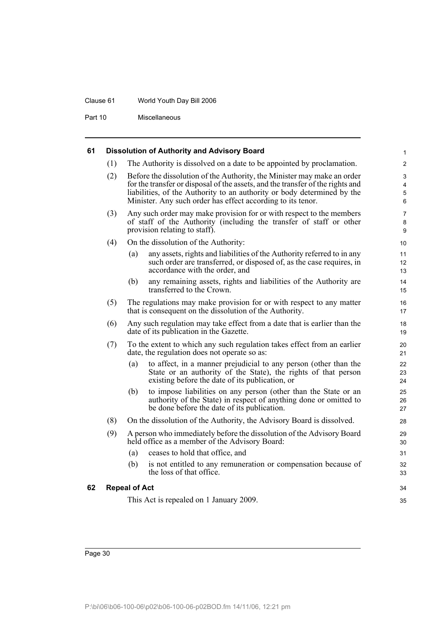#### Clause 61 World Youth Day Bill 2006

Part 10 Miscellaneous

| 61 | <b>Dissolution of Authority and Advisory Board</b> |                                                                                                                                                                                                                                                                                                     |  |
|----|----------------------------------------------------|-----------------------------------------------------------------------------------------------------------------------------------------------------------------------------------------------------------------------------------------------------------------------------------------------------|--|
|    |                                                    | The Authority is dissolved on a date to be appointed by proclamation.                                                                                                                                                                                                                               |  |
|    | (2)                                                | Before the dissolution of the Authority, the Minister may make an order<br>for the transfer or disposal of the assets, and the transfer of the rights and<br>liabilities, of the Authority to an authority or body determined by the<br>Minister. Any such order has effect according to its tenor. |  |

- (3) Any such order may make provision for or with respect to the members of staff of the Authority (including the transfer of staff or other provision relating to staff).
- (4) On the dissolution of the Authority:
	- (a) any assets, rights and liabilities of the Authority referred to in any such order are transferred, or disposed of, as the case requires, in accordance with the order, and

34 35

- (b) any remaining assets, rights and liabilities of the Authority are transferred to the Crown.
- (5) The regulations may make provision for or with respect to any matter that is consequent on the dissolution of the Authority.
- (6) Any such regulation may take effect from a date that is earlier than the date of its publication in the Gazette.
- (7) To the extent to which any such regulation takes effect from an earlier date, the regulation does not operate so as:
	- (a) to affect, in a manner prejudicial to any person (other than the State or an authority of the State), the rights of that person existing before the date of its publication, or
	- (b) to impose liabilities on any person (other than the State or an authority of the State) in respect of anything done or omitted to be done before the date of its publication.
- (8) On the dissolution of the Authority, the Advisory Board is dissolved.
- (9) A person who immediately before the dissolution of the Advisory Board held office as a member of the Advisory Board:
	- (a) ceases to hold that office, and
	- (b) is not entitled to any remuneration or compensation because of the loss of that office.

#### **62 Repeal of Act**

This Act is repealed on 1 January 2009.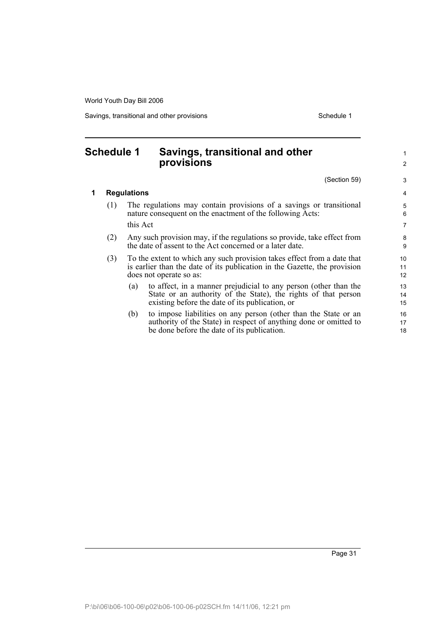Savings, transitional and other provisions Schedule 1 Schedule 1

# **Schedule 1 Savings, transitional and other provisions**

(Section 59)

1 2

| 1 |     | <b>Regulations</b>                                                                                                                                                                           | 4                           |
|---|-----|----------------------------------------------------------------------------------------------------------------------------------------------------------------------------------------------|-----------------------------|
|   | (1) | The regulations may contain provisions of a savings or transitional<br>nature consequent on the enactment of the following Acts:                                                             | 5<br>6                      |
|   |     | this Act                                                                                                                                                                                     | 7                           |
|   | (2) | Any such provision may, if the regulations so provide, take effect from<br>the date of assent to the Act concerned or a later date.                                                          | 8<br>9                      |
|   | (3) | To the extent to which any such provision takes effect from a date that<br>is earlier than the date of its publication in the Gazette, the provision<br>does not operate so as:              | 10 <sup>1</sup><br>11<br>12 |
|   |     | to affect, in a manner prejudicial to any person (other than the<br>(a)<br>State or an authority of the State), the rights of that person<br>existing before the date of its publication, or | 13<br>14<br>15              |
|   |     | to impose liabilities on any person (other than the State or an<br>(b)<br>authority of the State) in respect of anything done or omitted to<br>be done before the date of its publication.   | 16<br>17<br>18              |